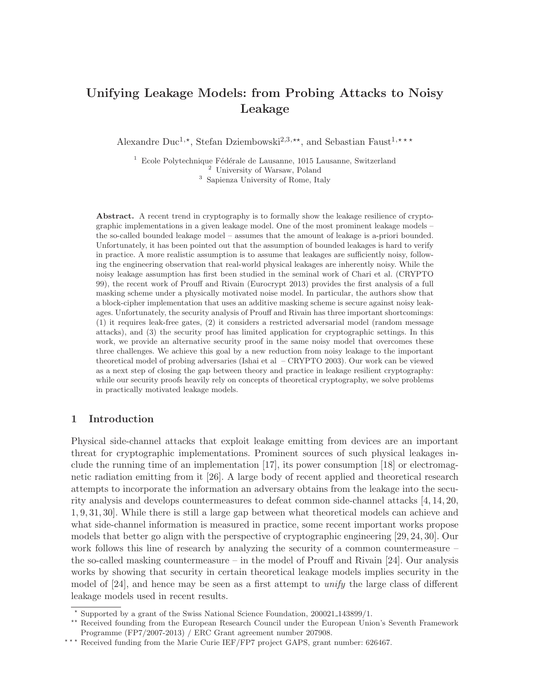# Unifying Leakage Models: from Probing Attacks to Noisy Leakage

Alexandre Duc<sup>1,\*</sup>, Stefan Dziembowski<sup>2,3,\*\*</sup>, and Sebastian Faust<sup>1,\*\*\*</sup>

 $1$  Ecole Polytechnique Fédérale de Lausanne, 1015 Lausanne, Switzerland <sup>2</sup> University of Warsaw, Poland <sup>3</sup> Sapienza University of Rome, Italy

Abstract. A recent trend in cryptography is to formally show the leakage resilience of cryptographic implementations in a given leakage model. One of the most prominent leakage models – the so-called bounded leakage model – assumes that the amount of leakage is a-priori bounded. Unfortunately, it has been pointed out that the assumption of bounded leakages is hard to verify in practice. A more realistic assumption is to assume that leakages are sufficiently noisy, following the engineering observation that real-world physical leakages are inherently noisy. While the noisy leakage assumption has first been studied in the seminal work of Chari et al. (CRYPTO 99), the recent work of Prouff and Rivain (Eurocrypt 2013) provides the first analysis of a full masking scheme under a physically motivated noise model. In particular, the authors show that a block-cipher implementation that uses an additive masking scheme is secure against noisy leakages. Unfortunately, the security analysis of Prouff and Rivain has three important shortcomings: (1) it requires leak-free gates, (2) it considers a restricted adversarial model (random message attacks), and (3) the security proof has limited application for cryptographic settings. In this work, we provide an alternative security proof in the same noisy model that overcomes these three challenges. We achieve this goal by a new reduction from noisy leakage to the important theoretical model of probing adversaries (Ishai et al – CRYPTO 2003). Our work can be viewed as a next step of closing the gap between theory and practice in leakage resilient cryptography: while our security proofs heavily rely on concepts of theoretical cryptography, we solve problems in practically motivated leakage models.

## 1 Introduction

Physical side-channel attacks that exploit leakage emitting from devices are an important threat for cryptographic implementations. Prominent sources of such physical leakages include the running time of an implementation [17], its power consumption [18] or electromagnetic radiation emitting from it [26]. A large body of recent applied and theoretical research attempts to incorporate the information an adversary obtains from the leakage into the security analysis and develops countermeasures to defeat common side-channel attacks [4, 14, 20, 1, 9, 31, 30]. While there is still a large gap between what theoretical models can achieve and what side-channel information is measured in practice, some recent important works propose models that better go align with the perspective of cryptographic engineering [29, 24, 30]. Our work follows this line of research by analyzing the security of a common countermeasure – the so-called masking countermeasure – in the model of Prouff and Rivain [24]. Our analysis works by showing that security in certain theoretical leakage models implies security in the model of  $[24]$ , and hence may be seen as a first attempt to *unify* the large class of different leakage models used in recent results.

<sup>⋆</sup> Supported by a grant of the Swiss National Science Foundation, 200021 143899/1.

<sup>\*\*</sup> Received founding from the European Research Council under the European Union's Seventh Framework Programme (FP7/2007-2013) / ERC Grant agreement number 207908.

<sup>\*\*\*</sup> Received funding from the Marie Curie IEF/FP7 project GAPS, grant number: 626467.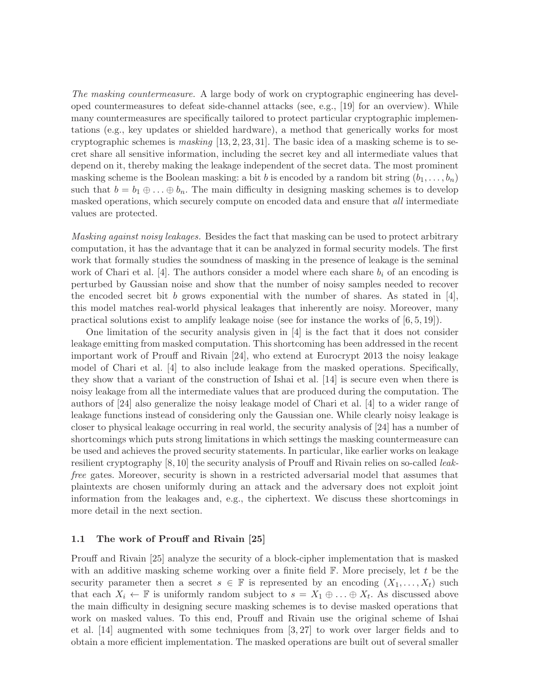The masking countermeasure. A large body of work on cryptographic engineering has developed countermeasures to defeat side-channel attacks (see, e.g., [19] for an overview). While many countermeasures are specifically tailored to protect particular cryptographic implementations (e.g., key updates or shielded hardware), a method that generically works for most cryptographic schemes is *masking*  $[13, 2, 23, 31]$ . The basic idea of a masking scheme is to secret share all sensitive information, including the secret key and all intermediate values that depend on it, thereby making the leakage independent of the secret data. The most prominent masking scheme is the Boolean masking: a bit b is encoded by a random bit string  $(b_1, \ldots, b_n)$ such that  $b = b_1 \oplus \ldots \oplus b_n$ . The main difficulty in designing masking schemes is to develop masked operations, which securely compute on encoded data and ensure that all intermediate values are protected.

Masking against noisy leakages. Besides the fact that masking can be used to protect arbitrary computation, it has the advantage that it can be analyzed in formal security models. The first work that formally studies the soundness of masking in the presence of leakage is the seminal work of Chari et al. [4]. The authors consider a model where each share  $b_i$  of an encoding is perturbed by Gaussian noise and show that the number of noisy samples needed to recover the encoded secret bit b grows exponential with the number of shares. As stated in [4], this model matches real-world physical leakages that inherently are noisy. Moreover, many practical solutions exist to amplify leakage noise (see for instance the works of  $(6, 5, 19)$ ).

One limitation of the security analysis given in [4] is the fact that it does not consider leakage emitting from masked computation. This shortcoming has been addressed in the recent important work of Prouff and Rivain [24], who extend at Eurocrypt 2013 the noisy leakage model of Chari et al. [4] to also include leakage from the masked operations. Specifically, they show that a variant of the construction of Ishai et al. [14] is secure even when there is noisy leakage from all the intermediate values that are produced during the computation. The authors of [24] also generalize the noisy leakage model of Chari et al. [4] to a wider range of leakage functions instead of considering only the Gaussian one. While clearly noisy leakage is closer to physical leakage occurring in real world, the security analysis of [24] has a number of shortcomings which puts strong limitations in which settings the masking countermeasure can be used and achieves the proved security statements. In particular, like earlier works on leakage resilient cryptography [8, 10] the security analysis of Prouff and Rivain relies on so-called *leak*free gates. Moreover, security is shown in a restricted adversarial model that assumes that plaintexts are chosen uniformly during an attack and the adversary does not exploit joint information from the leakages and, e.g., the ciphertext. We discuss these shortcomings in more detail in the next section.

## 1.1 The work of Prouff and Rivain [25]

Prouff and Rivain [25] analyze the security of a block-cipher implementation that is masked with an additive masking scheme working over a finite field  $\mathbb{F}$ . More precisely, let t be the security parameter then a secret  $s \in \mathbb{F}$  is represented by an encoding  $(X_1, \ldots, X_t)$  such that each  $X_i \leftarrow \mathbb{F}$  is uniformly random subject to  $s = X_1 \oplus \ldots \oplus X_t$ . As discussed above the main difficulty in designing secure masking schemes is to devise masked operations that work on masked values. To this end, Prouff and Rivain use the original scheme of Ishai et al. [14] augmented with some techniques from [3, 27] to work over larger fields and to obtain a more efficient implementation. The masked operations are built out of several smaller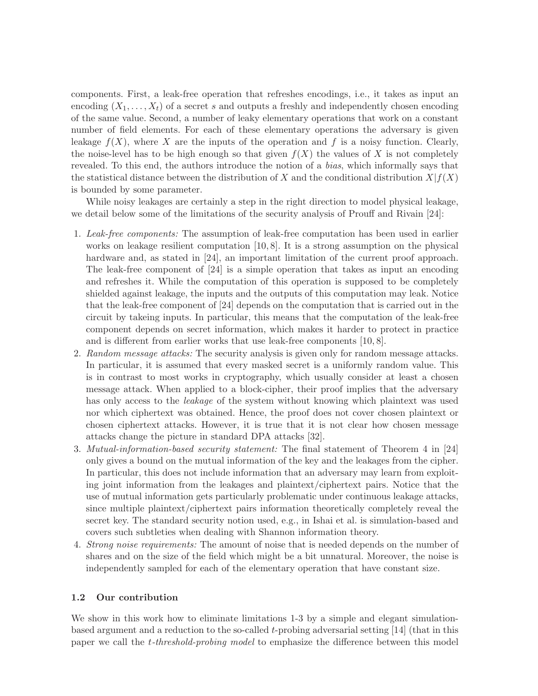components. First, a leak-free operation that refreshes encodings, i.e., it takes as input an encoding  $(X_1, \ldots, X_t)$  of a secret s and outputs a freshly and independently chosen encoding of the same value. Second, a number of leaky elementary operations that work on a constant number of field elements. For each of these elementary operations the adversary is given leakage  $f(X)$ , where X are the inputs of the operation and f is a noisy function. Clearly, the noise-level has to be high enough so that given  $f(X)$  the values of X is not completely revealed. To this end, the authors introduce the notion of a bias, which informally says that the statistical distance between the distribution of X and the conditional distribution  $X|f(X)$ is bounded by some parameter.

While noisy leakages are certainly a step in the right direction to model physical leakage, we detail below some of the limitations of the security analysis of Prouff and Rivain [24]:

- 1. Leak-free components: The assumption of leak-free computation has been used in earlier works on leakage resilient computation  $[10, 8]$ . It is a strong assumption on the physical hardware and, as stated in [24], an important limitation of the current proof approach. The leak-free component of [24] is a simple operation that takes as input an encoding and refreshes it. While the computation of this operation is supposed to be completely shielded against leakage, the inputs and the outputs of this computation may leak. Notice that the leak-free component of [24] depends on the computation that is carried out in the circuit by takeing inputs. In particular, this means that the computation of the leak-free component depends on secret information, which makes it harder to protect in practice and is different from earlier works that use leak-free components [10, 8].
- 2. Random message attacks: The security analysis is given only for random message attacks. In particular, it is assumed that every masked secret is a uniformly random value. This is in contrast to most works in cryptography, which usually consider at least a chosen message attack. When applied to a block-cipher, their proof implies that the adversary has only access to the *leakage* of the system without knowing which plaintext was used nor which ciphertext was obtained. Hence, the proof does not cover chosen plaintext or chosen ciphertext attacks. However, it is true that it is not clear how chosen message attacks change the picture in standard DPA attacks [32].
- 3. Mutual-information-based security statement: The final statement of Theorem 4 in [24] only gives a bound on the mutual information of the key and the leakages from the cipher. In particular, this does not include information that an adversary may learn from exploiting joint information from the leakages and plaintext/ciphertext pairs. Notice that the use of mutual information gets particularly problematic under continuous leakage attacks, since multiple plaintext/ciphertext pairs information theoretically completely reveal the secret key. The standard security notion used, e.g., in Ishai et al. is simulation-based and covers such subtleties when dealing with Shannon information theory.
- 4. Strong noise requirements: The amount of noise that is needed depends on the number of shares and on the size of the field which might be a bit unnatural. Moreover, the noise is independently sampled for each of the elementary operation that have constant size.

#### 1.2 Our contribution

We show in this work how to eliminate limitations 1-3 by a simple and elegant simulationbased argument and a reduction to the so-called t-probing adversarial setting  $\left[14\right]$  (that in this paper we call the t-threshold-probing model to emphasize the difference between this model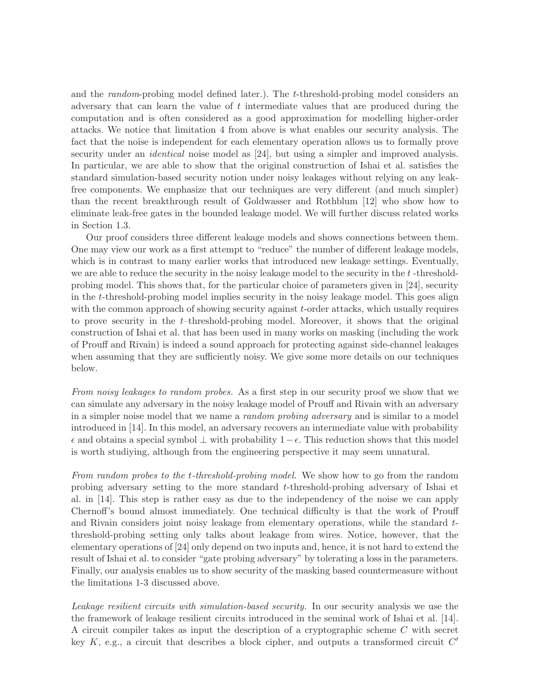and the *random*-probing model defined later.). The *t*-threshold-probing model considers an adversary that can learn the value of t intermediate values that are produced during the computation and is often considered as a good approximation for modelling higher-order attacks. We notice that limitation 4 from above is what enables our security analysis. The fact that the noise is independent for each elementary operation allows us to formally prove security under an *identical* noise model as [24], but using a simpler and improved analysis. In particular, we are able to show that the original construction of Ishai et al. satisfies the standard simulation-based security notion under noisy leakages without relying on any leakfree components. We emphasize that our techniques are very different (and much simpler) than the recent breakthrough result of Goldwasser and Rothblum [12] who show how to eliminate leak-free gates in the bounded leakage model. We will further discuss related works in Section 1.3.

Our proof considers three different leakage models and shows connections between them. One may view our work as a first attempt to "reduce" the number of different leakage models, which is in contrast to many earlier works that introduced new leakage settings. Eventually, we are able to reduce the security in the noisy leakage model to the security in the  $t$ -thresholdprobing model. This shows that, for the particular choice of parameters given in [24], security in the t-threshold-probing model implies security in the noisy leakage model. This goes align with the common approach of showing security against *t*-order attacks, which usually requires to prove security in the t–threshold-probing model. Moreover, it shows that the original construction of Ishai et al. that has been used in many works on masking (including the work of Prouff and Rivain) is indeed a sound approach for protecting against side-channel leakages when assuming that they are sufficiently noisy. We give some more details on our techniques below.

From noisy leakages to random probes. As a first step in our security proof we show that we can simulate any adversary in the noisy leakage model of Prouff and Rivain with an adversary in a simpler noise model that we name a random probing adversary and is similar to a model introduced in [14]. In this model, an adversary recovers an intermediate value with probability  $\epsilon$  and obtains a special symbol  $\perp$  with probability  $1-\epsilon$ . This reduction shows that this model is worth studiying, although from the engineering perspective it may seem unnatural.

From random probes to the t-threshold-probing model. We show how to go from the random probing adversary setting to the more standard t-threshold-probing adversary of Ishai et al. in [14]. This step is rather easy as due to the independency of the noise we can apply Chernoff's bound almost immediately. One technical difficulty is that the work of Prouff and Rivain considers joint noisy leakage from elementary operations, while the standard tthreshold-probing setting only talks about leakage from wires. Notice, however, that the elementary operations of [24] only depend on two inputs and, hence, it is not hard to extend the result of Ishai et al. to consider "gate probing adversary" by tolerating a loss in the parameters. Finally, our analysis enables us to show security of the masking based countermeasure without the limitations 1-3 discussed above.

Leakage resilient circuits with simulation-based security. In our security analysis we use the the framework of leakage resilient circuits introduced in the seminal work of Ishai et al. [14]. A circuit compiler takes as input the description of a cryptographic scheme C with secret key  $K$ , e.g., a circuit that describes a block cipher, and outputs a transformed circuit  $C'$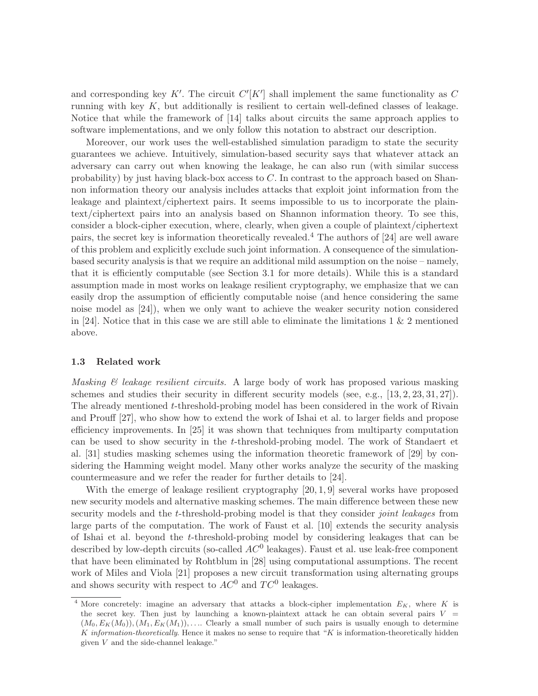and corresponding key K'. The circuit  $C'[K']$  shall implement the same functionality as C running with key K, but additionally is resilient to certain well-defined classes of leakage. Notice that while the framework of [14] talks about circuits the same approach applies to software implementations, and we only follow this notation to abstract our description.

Moreover, our work uses the well-established simulation paradigm to state the security guarantees we achieve. Intuitively, simulation-based security says that whatever attack an adversary can carry out when knowing the leakage, he can also run (with similar success probability) by just having black-box access to C. In contrast to the approach based on Shannon information theory our analysis includes attacks that exploit joint information from the leakage and plaintext/ciphertext pairs. It seems impossible to us to incorporate the plaintext/ciphertext pairs into an analysis based on Shannon information theory. To see this, consider a block-cipher execution, where, clearly, when given a couple of plaintext/ciphertext pairs, the secret key is information theoretically revealed.<sup>4</sup> The authors of [24] are well aware of this problem and explicitly exclude such joint information. A consequence of the simulationbased security analysis is that we require an additional mild assumption on the noise – namely, that it is efficiently computable (see Section 3.1 for more details). While this is a standard assumption made in most works on leakage resilient cryptography, we emphasize that we can easily drop the assumption of efficiently computable noise (and hence considering the same noise model as [24]), when we only want to achieve the weaker security notion considered in [24]. Notice that in this case we are still able to eliminate the limitations 1  $\&$  2 mentioned above.

## 1.3 Related work

*Masking*  $\mathcal{C}'$  *leakage resilient circuits.* A large body of work has proposed various masking schemes and studies their security in different security models (see, e.g., [13, 2, 23, 31, 27]). The already mentioned t-threshold-probing model has been considered in the work of Rivain and Prouff [27], who show how to extend the work of Ishai et al. to larger fields and propose efficiency improvements. In [25] it was shown that techniques from multiparty computation can be used to show security in the t-threshold-probing model. The work of Standaert et al. [31] studies masking schemes using the information theoretic framework of [29] by considering the Hamming weight model. Many other works analyze the security of the masking countermeasure and we refer the reader for further details to [24].

With the emerge of leakage resilient cryptography [20, 1, 9] several works have proposed new security models and alternative masking schemes. The main difference between these new security models and the *t*-threshold-probing model is that they consider *joint leakages* from large parts of the computation. The work of Faust et al. [10] extends the security analysis of Ishai et al. beyond the t-threshold-probing model by considering leakages that can be described by low-depth circuits (so-called  $AC<sup>0</sup>$  leakages). Faust et al. use leak-free component that have been eliminated by Rohtblum in [28] using computational assumptions. The recent work of Miles and Viola [21] proposes a new circuit transformation using alternating groups and shows security with respect to  $AC^0$  and  $TC^0$  leakages.

<sup>&</sup>lt;sup>4</sup> More concretely: imagine an adversary that attacks a block-cipher implementation  $E_K$ , where K is the secret key. Then just by launching a known-plaintext attack he can obtain several pairs  $V =$  $(M_0, E_K(M_0)), (M_1, E_K(M_1)), \ldots$  Clearly a small number of such pairs is usually enough to determine K *information-theoretically*. Hence it makes no sense to require that "K is information-theoretically hidden given V and the side-channel leakage."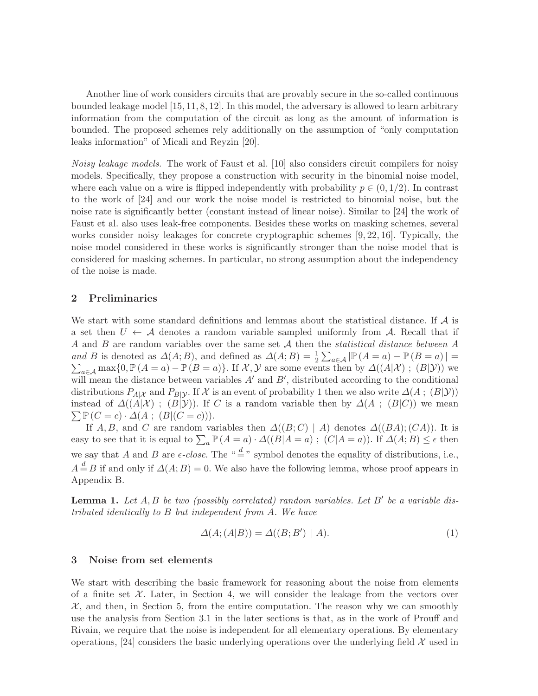Another line of work considers circuits that are provably secure in the so-called continuous bounded leakage model [15, 11, 8, 12]. In this model, the adversary is allowed to learn arbitrary information from the computation of the circuit as long as the amount of information is bounded. The proposed schemes rely additionally on the assumption of "only computation leaks information" of Micali and Reyzin [20].

Noisy leakage models. The work of Faust et al. [10] also considers circuit compilers for noisy models. Specifically, they propose a construction with security in the binomial noise model, where each value on a wire is flipped independently with probability  $p \in (0, 1/2)$ . In contrast to the work of [24] and our work the noise model is restricted to binomial noise, but the noise rate is significantly better (constant instead of linear noise). Similar to [24] the work of Faust et al. also uses leak-free components. Besides these works on masking schemes, several works consider noisy leakages for concrete cryptographic schemes [9, 22, 16]. Typically, the noise model considered in these works is significantly stronger than the noise model that is considered for masking schemes. In particular, no strong assumption about the independency of the noise is made.

## 2 Preliminaries

We start with some standard definitions and lemmas about the statistical distance. If  $A$  is a set then  $U \leftarrow A$  denotes a random variable sampled uniformly from A. Recall that if A and B are random variables over the same set A then the *statistical distance between* A and B is denoted as  $\Delta(A;B)$ , and defined as  $\Delta(A;B) = \frac{1}{2} \sum_{a \in A} |\mathbb{P}(A=a) - \mathbb{P}(B=a)| =$ <br> $\sum_{a \in A} \max\{0, \mathbb{P}(A=a) - \mathbb{P}(B=a)\}\$ . If  $\mathcal{X}, \mathcal{Y}$  are some events then by  $\Delta((A|\mathcal{X}); (B|\mathcal{Y}))$  we  $\sum_{a\in\mathcal{A}} \max\{0,\mathbb{P}(A=a)-\mathbb{P}(B=a)\}\.$  If  $\mathcal{X},\mathcal{Y}$  are some events then by  $\Delta((A|\mathcal{X});(B|\mathcal{Y}))$  we will mean the distance between variables  $A'$  and  $B'$ , distributed according to the conditional distributions  $P_{A|\mathcal{X}}$  and  $P_{B|\mathcal{Y}}$ . If X is an event of probability 1 then we also write  $\Delta(A; (B|\mathcal{Y}))$  $\sum \mathbb{P}(C = c) \cdot \Delta(A ; (B | (C = c))).$ instead of  $\Delta((A|\mathcal{X}); (B|\mathcal{Y}))$ . If C is a random variable then by  $\Delta(A; (B|C))$  we mean

If A, B, and C are random variables then  $\Delta((B; C) \mid A)$  denotes  $\Delta((BA); (CA))$ . It is easy to see that it is equal to  $\sum_a \mathbb{P}(A = a) \cdot \Delta((B|A = a) ; (C|A = a))$ . If  $\Delta(A;B) \leq \epsilon$  then we say that A and B are  $\epsilon$ -close. The " $\stackrel{d}{=}$ " symbol denotes the equality of distributions, i.e.,  $A \stackrel{d}{=} B$  if and only if  $\Delta(A;B) = 0$ . We also have the following lemma, whose proof appears in Appendix B.

**Lemma 1.** Let  $A, B$  be two (possibly correlated) random variables. Let  $B'$  be a variable distributed identically to B but independent from A. We have

$$
\Delta(A; (A|B)) = \Delta((B; B') | A). \tag{1}
$$

## 3 Noise from set elements

We start with describing the basic framework for reasoning about the noise from elements of a finite set  $\mathcal{X}$ . Later, in Section 4, we will consider the leakage from the vectors over  $\mathcal{X}$ , and then, in Section 5, from the entire computation. The reason why we can smoothly use the analysis from Section 3.1 in the later sections is that, as in the work of Prouff and Rivain, we require that the noise is independent for all elementary operations. By elementary operations, [24] considers the basic underlying operations over the underlying field  $\mathcal X$  used in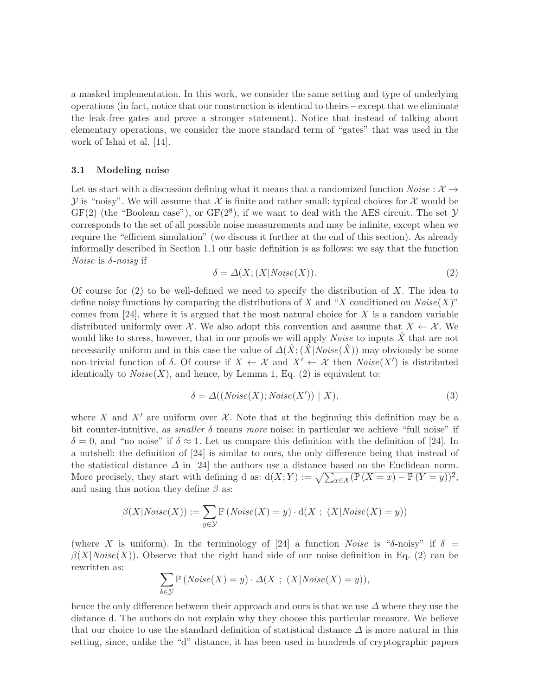a masked implementation. In this work, we consider the same setting and type of underlying operations (in fact, notice that our construction is identical to theirs – except that we eliminate the leak-free gates and prove a stronger statement). Notice that instead of talking about elementary operations, we consider the more standard term of "gates" that was used in the work of Ishai et al. [14].

#### 3.1 Modeling noise

Let us start with a discussion defining what it means that a randomized function Noise :  $\mathcal{X} \rightarrow$  $\mathcal Y$  is "noisy". We will assume that  $\mathcal X$  is finite and rather small: typical choices for  $\mathcal X$  would be  $GF(2)$  (the "Boolean case"), or  $GF(2^8)$ , if we want to deal with the AES circuit. The set  $\mathcal Y$ corresponds to the set of all possible noise measurements and may be infinite, except when we require the "efficient simulation" (we discuss it further at the end of this section). As already informally described in Section 1.1 our basic definition is as follows: we say that the function *Noise* is  $\delta$ -noisy if

$$
\delta = \Delta(X; (X|Noise(X))). \tag{2}
$$

Of course for  $(2)$  to be well-defined we need to specify the distribution of X. The idea to define noisy functions by comparing the distributions of X and "X conditioned on  $Noise(X)$ " comes from  $[24]$ , where it is argued that the most natural choice for X is a random variable distributed uniformly over X. We also adopt this convention and assume that  $X \leftarrow \mathcal{X}$ . We would like to stress, however, that in our proofs we will apply *Noise* to inputs  $\hat{X}$  that are not necessarily uniform and in this case the value of  $\Delta(X; (X|Noise(X))$  may obviously be some non-trivial function of  $\delta$ . Of course if  $X \leftarrow \mathcal{X}$  and  $X' \leftarrow \mathcal{X}$  then  $Noise(X')$  is distributed identically to  $Noise(X)$ , and hence, by Lemma 1, Eq. (2) is equivalent to:

$$
\delta = \Delta((Noise(X);Noise(X')) \mid X),\tag{3}
$$

where X and X' are uniform over X. Note that at the beginning this definition may be a bit counter-intuitive, as *smaller*  $\delta$  means more noise: in particular we achieve "full noise" if  $\delta = 0$ , and "no noise" if  $\delta \approx 1$ . Let us compare this definition with the definition of [24]. In a nutshell: the definition of [24] is similar to ours, the only difference being that instead of the statistical distance  $\Delta$  in [24] the authors use a distance based on the Euclidean norm. More precisely, they start with defining d as:  $d(X;Y) := \sqrt{\sum_{x \in \mathcal{X}} (\mathbb{P}(X = x) - \mathbb{P}(Y = y))^2}$ , and using this notion they define  $\beta$  as:

$$
\beta(X|Noise(X)) := \sum_{y \in \mathcal{Y}} \mathbb{P}\left(Noise(X) = y\right) \cdot d(X ; (X|Noise(X) = y))
$$

(where X is uniform). In the terminology of [24] a function Noise is " $\delta$ -noisy" if  $\delta$  =  $\beta(X|Noise(X))$ . Observe that the right hand side of our noise definition in Eq. (2) can be rewritten as:

$$
\sum_{b \in \mathcal{Y}} \mathbb{P} \left( \text{Noise}(X) = y \right) \cdot \Delta(X ; \ (X | \text{Noise}(X) = y)),
$$

hence the only difference between their approach and ours is that we use  $\Delta$  where they use the distance d. The authors do not explain why they choose this particular measure. We believe that our choice to use the standard definition of statistical distance  $\Delta$  is more natural in this setting, since, unlike the "d" distance, it has been used in hundreds of cryptographic papers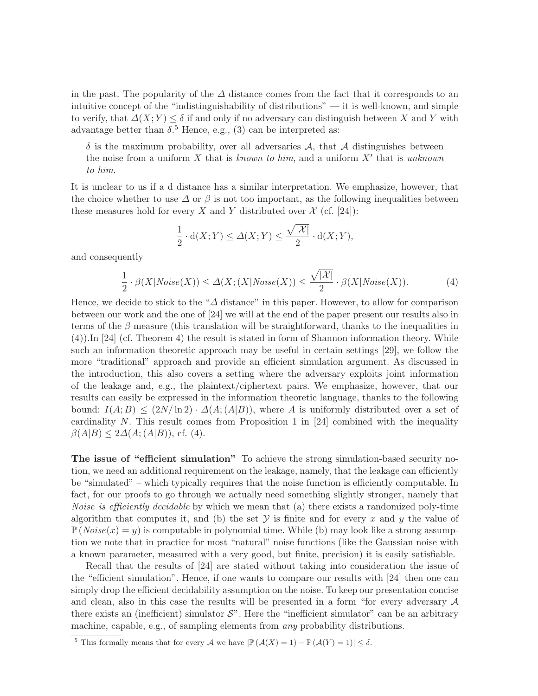in the past. The popularity of the  $\Delta$  distance comes from the fact that it corresponds to an intuitive concept of the "indistinguishability of distributions" — it is well-known, and simple to verify, that  $\Delta(X; Y) \leq \delta$  if and only if no adversary can distinguish between X and Y with advantage better than  $\delta$ <sup>5</sup> Hence, e.g., (3) can be interpreted as:

 $\delta$  is the maximum probability, over all adversaries A, that A distinguishes between the noise from a uniform X that is known to him, and a uniform  $X'$  that is unknown to him.

It is unclear to us if a d distance has a similar interpretation. We emphasize, however, that the choice whether to use  $\Delta$  or  $\beta$  is not too important, as the following inequalities between these measures hold for every X and Y distributed over  $\mathcal{X}$  (cf. [24]):

$$
\frac{1}{2} \cdot d(X;Y) \le \Delta(X;Y) \le \frac{\sqrt{|\mathcal{X}|}}{2} \cdot d(X;Y),
$$

and consequently

$$
\frac{1}{2} \cdot \beta(X|Noise(X)) \le \Delta(X; (X|Noise(X)) \le \frac{\sqrt{|\mathcal{X}|}}{2} \cdot \beta(X|Noise(X)). \tag{4}
$$

Hence, we decide to stick to the " $\Delta$  distance" in this paper. However, to allow for comparison between our work and the one of [24] we will at the end of the paper present our results also in terms of the  $\beta$  measure (this translation will be straightforward, thanks to the inequalities in  $(4)$ ).In [24] (cf. Theorem 4) the result is stated in form of Shannon information theory. While such an information theoretic approach may be useful in certain settings [29], we follow the more "traditional" approach and provide an efficient simulation argument. As discussed in the introduction, this also covers a setting where the adversary exploits joint information of the leakage and, e.g., the plaintext/ciphertext pairs. We emphasize, however, that our results can easily be expressed in the information theoretic language, thanks to the following bound:  $I(A; B) \leq (2N/\ln 2) \cdot \Delta(A; (A|B))$ , where A is uniformly distributed over a set of cardinality N. This result comes from Proposition 1 in [24] combined with the inequality  $\beta(A|B) \leq 2\Delta(A;(A|B))$ , cf. (4).

The issue of "efficient simulation" To achieve the strong simulation-based security notion, we need an additional requirement on the leakage, namely, that the leakage can efficiently be "simulated" – which typically requires that the noise function is efficiently computable. In fact, for our proofs to go through we actually need something slightly stronger, namely that Noise is efficiently decidable by which we mean that (a) there exists a randomized poly-time algorithm that computes it, and (b) the set  $\mathcal Y$  is finite and for every x and y the value of  $\mathbb{P}(Noise(x) = y)$  is computable in polynomial time. While (b) may look like a strong assumption we note that in practice for most "natural" noise functions (like the Gaussian noise with a known parameter, measured with a very good, but finite, precision) it is easily satisfiable.

Recall that the results of [24] are stated without taking into consideration the issue of the "efficient simulation". Hence, if one wants to compare our results with [24] then one can simply drop the efficient decidability assumption on the noise. To keep our presentation concise and clean, also in this case the results will be presented in a form "for every adversary  $A$ there exists an (inefficient) simulator  $S$ ". Here the "inefficient simulator" can be an arbitrary machine, capable, e.g., of sampling elements from any probability distributions.

<sup>&</sup>lt;sup>5</sup> This formally means that for every A we have  $\left|\mathbb{P}\left(\mathcal{A}(X)=1\right)-\mathbb{P}\left(\mathcal{A}(Y)=1\right)\right|\leq \delta$ .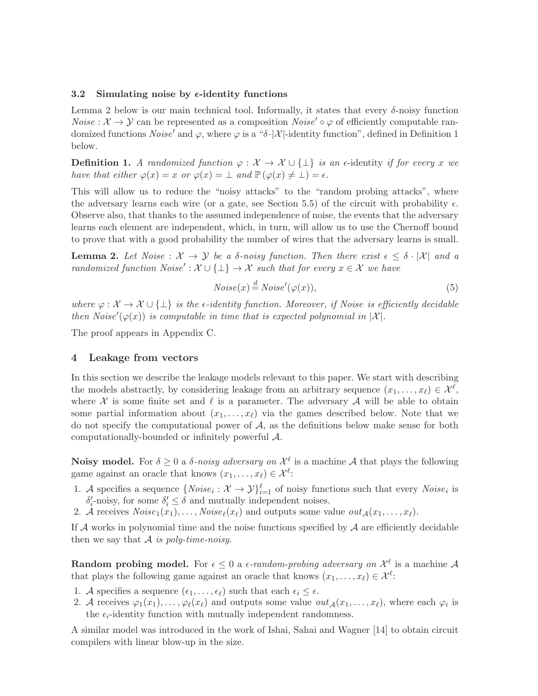#### 3.2 Simulating noise by  $\epsilon$ -identity functions

Lemma 2 below is our main technical tool. Informally, it states that every  $\delta$ -noisy function *Noise* :  $X \to Y$  can be represented as a composition *Noise'*  $\circ \varphi$  of efficiently computable randomized functions  $Noise'$  and  $\varphi$ , where  $\varphi$  is a " $\delta \cdot |\mathcal{X}|$ -identity function", defined in Definition 1 below.

**Definition 1.** A randomized function  $\varphi : \mathcal{X} \to \mathcal{X} \cup \{\perp\}$  is an  $\epsilon$ -identity if for every x we have that either  $\varphi(x) = x$  or  $\varphi(x) = \bot$  and  $\mathbb{P}(\varphi(x) \neq \bot) = \epsilon$ .

This will allow us to reduce the "noisy attacks" to the "random probing attacks", where the adversary learns each wire (or a gate, see Section 5.5) of the circuit with probability  $\epsilon$ . Observe also, that thanks to the assumed independence of noise, the events that the adversary learns each element are independent, which, in turn, will allow us to use the Chernoff bound to prove that with a good probability the number of wires that the adversary learns is small.

**Lemma 2.** Let Noise :  $\mathcal{X} \to \mathcal{Y}$  be a  $\delta$ -noisy function. Then there exist  $\epsilon \leq \delta \cdot |\mathcal{X}|$  and a randomized function  $Noise': \mathcal{X} \cup {\{\perp}\} \rightarrow \mathcal{X}$  such that for every  $x \in \mathcal{X}$  we have

$$
Noise(x) \stackrel{d}{=} Noise'(\varphi(x)),\tag{5}
$$

where  $\varphi : \mathcal{X} \to \mathcal{X} \cup \{\perp\}$  is the  $\epsilon$ -identity function. Moreover, if Noise is efficiently decidable then Noise'( $\varphi(x)$ ) is computable in time that is expected polynomial in  $|\mathcal{X}|$ .

The proof appears in Appendix C.

## 4 Leakage from vectors

In this section we describe the leakage models relevant to this paper. We start with describing the models abstractly, by considering leakage from an arbitrary sequence  $(x_1, \ldots, x_\ell) \in \mathcal{X}^\ell$ , where X is some finite set and  $\ell$  is a parameter. The adversary A will be able to obtain some partial information about  $(x_1, \ldots, x_\ell)$  via the games described below. Note that we do not specify the computational power of  $A$ , as the definitions below make sense for both computationally-bounded or infinitely powerful A.

Noisy model. For  $\delta \geq 0$  a  $\delta$ -noisy adversary on  $\mathcal{X}^{\ell}$  is a machine A that plays the following game against an oracle that knows  $(x_1, \ldots, x_\ell) \in \mathcal{X}^\ell$ :

- 1. A specifies a sequence  $\{Noise_i: \mathcal{X} \to \mathcal{Y}\}_{i=1}^{\ell}$  of noisy functions such that every  $Noise_i$  is  $\delta_i'$ -noisy, for some  $\delta_i' \leq \delta$  and mutually independent noises.
- 2. A receives  $Noise_1(x_1), \ldots, Noise_\ell(x_\ell)$  and outputs some value  $out_{\mathcal{A}}(x_1, \ldots, x_\ell)$ .

If  $\mathcal A$  works in polynomial time and the noise functions specified by  $\mathcal A$  are efficiently decidable then we say that A is poly-time-noisy.

**Random probing model.** For  $\epsilon \leq 0$  a  $\epsilon$ -random-probing adversary on  $\mathcal{X}^{\ell}$  is a machine A that plays the following game against an oracle that knows  $(x_1, \ldots, x_\ell) \in \mathcal{X}^\ell$ :

- 1. A specifies a sequence  $(\epsilon_1, \ldots, \epsilon_\ell)$  such that each  $\epsilon_i \leq \epsilon$ .
- 2. A receives  $\varphi_1(x_1), \ldots, \varphi_\ell(x_\ell)$  and outputs some value  $out_{\mathcal{A}}(x_1, \ldots, x_\ell)$ , where each  $\varphi_i$  is the  $\epsilon_i$ -identity function with mutually independent randomness.

A similar model was introduced in the work of Ishai, Sahai and Wagner [14] to obtain circuit compilers with linear blow-up in the size.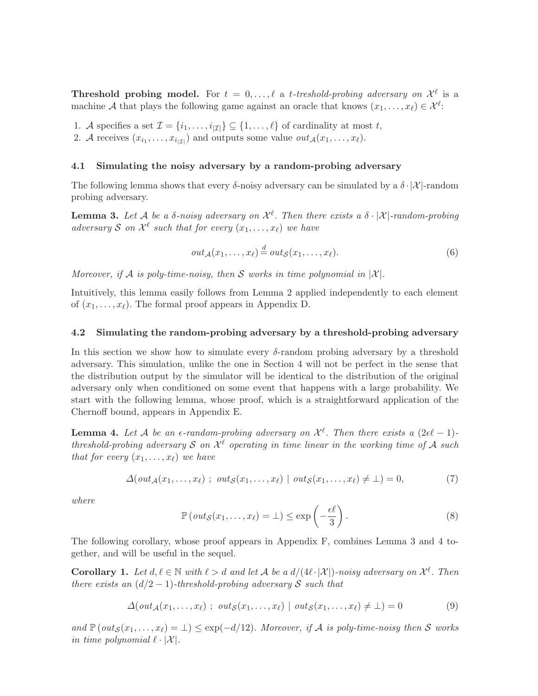**Threshold probing model.** For  $t = 0, \ldots, \ell$  a t-treshold-probing adversary on  $\mathcal{X}^{\ell}$  is a machine A that plays the following game against an oracle that knows  $(x_1, \ldots, x_\ell) \in \mathcal{X}^\ell$ :

- 1. A specifies a set  $\mathcal{I} = \{i_1, \ldots, i_{|\mathcal{I}|}\}\subseteq \{1, \ldots, \ell\}$  of cardinality at most t,
- 2. A receives  $(x_{i_1},...,x_{i_{|\mathcal{I}|}})$  and outputs some value  $\textit{out}_{\mathcal{A}}(x_1,...,x_{\ell}).$

## 4.1 Simulating the noisy adversary by a random-probing adversary

The following lemma shows that every  $\delta$ -noisy adversary can be simulated by a  $\delta \cdot |\mathcal{X}|$ -random probing adversary.

**Lemma 3.** Let A be a  $\delta$ -noisy adversary on  $\mathcal{X}^{\ell}$ . Then there exists a  $\delta \cdot |\mathcal{X}|$ -random-probing adversary S on  $\mathcal{X}^{\ell}$  such that for every  $(x_1, \ldots, x_{\ell})$  we have

$$
out_{\mathcal{A}}(x_1,\ldots,x_\ell) \stackrel{d}{=} out_{\mathcal{S}}(x_1,\ldots,x_\ell). \tag{6}
$$

Moreover, if A is poly-time-noisy, then S works in time polynomial in  $|\mathcal{X}|$ .

Intuitively, this lemma easily follows from Lemma 2 applied independently to each element of  $(x_1, \ldots, x_\ell)$ . The formal proof appears in Appendix D.

## 4.2 Simulating the random-probing adversary by a threshold-probing adversary

In this section we show how to simulate every  $\delta$ -random probing adversary by a threshold adversary. This simulation, unlike the one in Section 4 will not be perfect in the sense that the distribution output by the simulator will be identical to the distribution of the original adversary only when conditioned on some event that happens with a large probability. We start with the following lemma, whose proof, which is a straightforward application of the Chernoff bound, appears in Appendix E.

**Lemma 4.** Let A be an  $\epsilon$ -random-probing adversary on  $\mathcal{X}^{\ell}$ . Then there exists a  $(2\epsilon\ell-1)$ threshold-probing adversary S on  $\mathcal{X}^{\ell}$  operating in time linear in the working time of A such that for every  $(x_1, \ldots, x_\ell)$  we have

$$
\Delta(\text{out}_{\mathcal{A}}(x_1,\ldots,x_\ell); \text{ out}_{\mathcal{S}}(x_1,\ldots,x_\ell) | \text{ out}_{\mathcal{S}}(x_1,\ldots,x_\ell) \neq \bot) = 0,\tag{7}
$$

where

$$
\mathbb{P}\left(\text{out}_{\mathcal{S}}(x_1,\ldots,x_\ell)=\bot\right)\leq \exp\left(-\frac{\epsilon\ell}{3}\right). \tag{8}
$$

The following corollary, whose proof appears in Appendix F, combines Lemma 3 and 4 together, and will be useful in the sequel.

**Corollary 1.** Let  $d, \ell \in \mathbb{N}$  with  $\ell > d$  and let A be a  $d/(4\ell \cdot |\mathcal{X}|)$ -noisy adversary on  $\mathcal{X}^{\ell}$ . Then there exists an  $(d/2 - 1)$ -threshold-probing adversary S such that

$$
\Delta(\text{out}_{\mathcal{A}}(x_1,\ldots,x_\ell); \text{ out}_{\mathcal{S}}(x_1,\ldots,x_\ell) | \text{ out}_{\mathcal{S}}(x_1,\ldots,x_\ell) \neq \bot) = 0 \tag{9}
$$

and  $\mathbb{P}(out_S(x_1,\ldots,x_\ell)=\bot) \leq \exp(-d/12)$ . Moreover, if A is poly-time-noisy then S works in time polynomial  $\ell \cdot |\mathcal{X}|$ .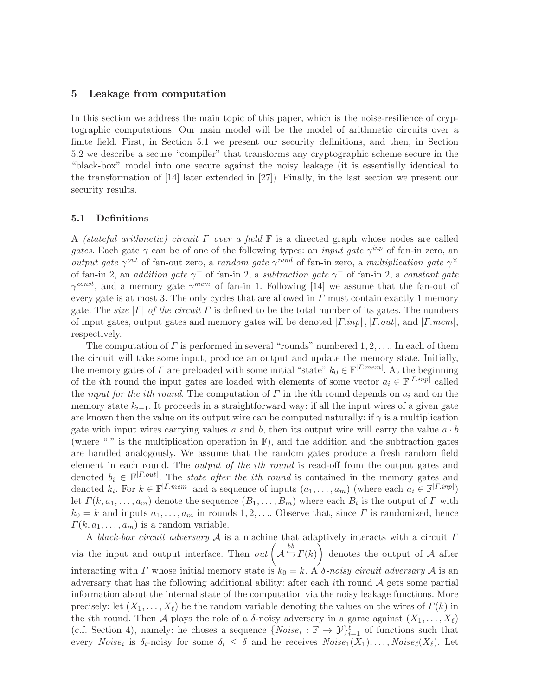## 5 Leakage from computation

In this section we address the main topic of this paper, which is the noise-resilience of cryptographic computations. Our main model will be the model of arithmetic circuits over a finite field. First, in Section 5.1 we present our security definitions, and then, in Section 5.2 we describe a secure "compiler" that transforms any cryptographic scheme secure in the "black-box" model into one secure against the noisy leakage (it is essentially identical to the transformation of [14] later extended in [27]). Finally, in the last section we present our security results.

## 5.1 Definitions

A *(stateful arithmetic) circuit*  $\Gamma$  over a field  $\mathbb F$  is a directed graph whose nodes are called gates. Each gate  $\gamma$  can be of one of the following types: an *input gate*  $\gamma^{inp}$  of fan-in zero, an output gate  $\gamma^{out}$  of fan-out zero, a random gate  $\gamma^{rand}$  of fan-in zero, a multiplication gate  $\gamma^{\times}$ of fan-in 2, an addition gate  $\gamma^+$  of fan-in 2, a subtraction gate  $\gamma^-$  of fan-in 2, a constant gate  $\gamma^{const}$ , and a memory gate  $\gamma^{mem}$  of fan-in 1. Following [14] we assume that the fan-out of every gate is at most 3. The only cycles that are allowed in  $\Gamma$  must contain exactly 1 memory gate. The size  $|\Gamma|$  of the circuit  $\Gamma$  is defined to be the total number of its gates. The numbers of input gates, output gates and memory gates will be denoted  $|\Gamma.\text{inp}|$ ,  $|\Gamma.\text{out}|$ , and  $|\Gamma.\text{mem}|$ , respectively.

The computation of  $\Gamma$  is performed in several "rounds" numbered  $1, 2, \ldots$  In each of them the circuit will take some input, produce an output and update the memory state. Initially, the memory gates of  $\Gamma$  are preloaded with some initial "state"  $k_0 \in \mathbb{F}^{|\Gamma, mem|}$ . At the beginning of the *i*th round the input gates are loaded with elements of some vector  $a_i \in \mathbb{F}^{|I \cdot inp|}$  called the *input for the ith round*. The computation of  $\Gamma$  in the *i*th round depends on  $a_i$  and on the memory state  $k_{i-1}$ . It proceeds in a straightforward way: if all the input wires of a given gate are known then the value on its output wire can be computed naturally: if  $\gamma$  is a multiplication gate with input wires carrying values a and b, then its output wire will carry the value  $a \cdot b$ (where " $\cdot$ " is the multiplication operation in  $\mathbb{F}$ ), and the addition and the subtraction gates are handled analogously. We assume that the random gates produce a fresh random field element in each round. The *output of the ith round* is read-off from the output gates and denoted  $b_i \in \mathbb{F}^{|I.out|}$ . The *state after the ith round* is contained in the memory gates and denoted  $k_i$ . For  $k \in \mathbb{F}^{|I.mem|}$  and a sequence of inputs  $(a_1, \ldots, a_m)$  (where each  $a_i \in \mathbb{F}^{|I.imp|}$ ) let  $\Gamma(k, a_1, \ldots, a_m)$  denote the sequence  $(B_1, \ldots, B_m)$  where each  $B_i$  is the output of  $\Gamma$  with  $k_0 = k$  and inputs  $a_1, \ldots, a_m$  in rounds  $1, 2, \ldots$  Observe that, since  $\Gamma$  is randomized, hence  $\Gamma(k, a_1, \ldots, a_m)$  is a random variable.

A black-box circuit adversary  $A$  is a machine that adaptively interacts with a circuit  $\Gamma$ via the input and output interface. Then  $out\left(\mathcal{A} \stackrel{bb}{\hookrightarrow} \Gamma(k)\right)$ denotes the output of A after interacting with  $\Gamma$  whose initial memory state is  $k_0 = k$ . A  $\delta$ -noisy circuit adversary A is an adversary that has the following additional ability: after each ith round  $A$  gets some partial information about the internal state of the computation via the noisy leakage functions. More precisely: let  $(X_1, \ldots, X_\ell)$  be the random variable denoting the values on the wires of  $\Gamma(k)$  in the *i*th round. Then A plays the role of a  $\delta$ -noisy adversary in a game against  $(X_1, \ldots, X_\ell)$ (c.f. Section 4), namely: he choses a sequence  $\{Noise_i : \mathbb{F} \to \mathcal{Y}\}_{i=1}^{\ell}$  of functions such that every Noise<sub>i</sub> is  $\delta_i$ -noisy for some  $\delta_i \leq \delta$  and he receives  $Noise_1(X_1), \ldots, Noise_\ell(X_\ell)$ . Let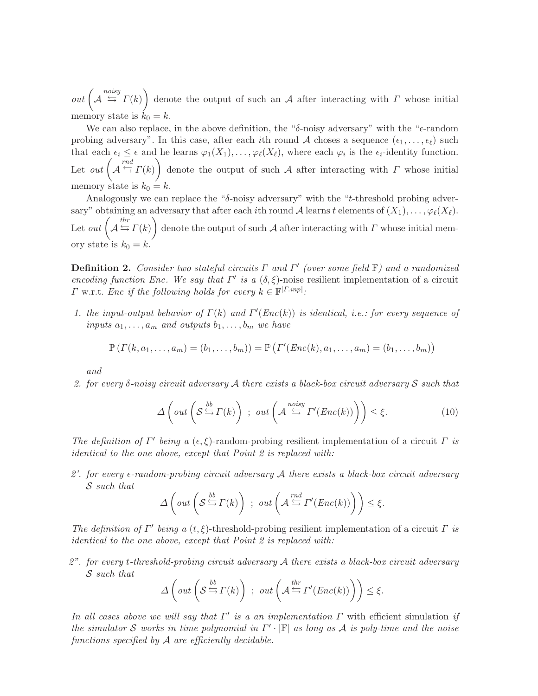out A  $\stackrel{noisy}{\hookrightarrow} \Gamma(k)$ denote the output of such an  $A$  after interacting with  $\Gamma$  whose initial memory state is  $k_0 = k$ .

We can also replace, in the above definition, the " $\delta$ -noisy adversary" with the " $\epsilon$ -random probing adversary". In this case, after each ith round A choses a sequence  $(\epsilon_1, \ldots, \epsilon_\ell)$  such that each  $\epsilon_i \leq \epsilon$  and he learns  $\varphi_1(X_1), \ldots, \varphi_\ell(X_\ell)$ , where each  $\varphi_i$  is the  $\epsilon_i$ -identity function. Let *out*  $\left( \mathcal{A} \stackrel{rnd}{\hookrightarrow} \Gamma(k) \right)$ denote the output of such  $A$  after interacting with  $\Gamma$  whose initial memory state is  $k_0 = k$ .

Analogously we can replace the " $\delta$ -noisy adversary" with the "t-threshold probing adversary" obtaining an adversary that after each *i*th round A learns t elements of  $(X_1), \ldots, \varphi_\ell(X_\ell)$ . Let *out*  $\left( A \stackrel{thr}{\hookrightarrow} \Gamma(k) \right)$ denote the output of such  $\mathcal A$  after interacting with  $\Gamma$  whose initial memory state is  $k_0 = k$ .

**Definition 2.** Consider two stateful circuits  $\Gamma$  and  $\Gamma'$  (over some field  $\mathbb{F}$ ) and a randomized encoding function Enc. We say that  $\Gamma'$  is a  $(\delta, \xi)$ -noise resilient implementation of a circuit  $\Gamma$  w.r.t. Enc if the following holds for every  $k \in \mathbb{F}^{|\Gamma.inp|}$ :

1. the input-output behavior of  $\Gamma(k)$  and  $\Gamma'(Enc(k))$  is identical, i.e.: for every sequence of inputs  $a_1, \ldots, a_m$  and outputs  $b_1, \ldots, b_m$  we have

$$
\mathbb{P}\left(\Gamma(k, a_1, \ldots, a_m) = (b_1, \ldots, b_m)\right) = \mathbb{P}\left(\Gamma'(Enc(k), a_1, \ldots, a_m) = (b_1, \ldots, b_m)\right)
$$

and

2. for every  $\delta$ -noisy circuit adversary A there exists a black-box circuit adversary S such that

$$
\Delta\left(\text{out}\left(\mathcal{S}\stackrel{bb}{\hookrightarrow}\Gamma(k)\right)\ ;\ \text{out}\left(\mathcal{A}\stackrel{\text{noisy}}{\hookrightarrow}\Gamma'(Enc(k))\right)\right)\leq\xi.\tag{10}
$$

The definition of Γ' being a  $(\epsilon, \xi)$ -random-probing resilient implementation of a circuit Γ is identical to the one above, except that Point 2 is replaced with:

2'. for every  $\epsilon$ -random-probing circuit adversary A there exists a black-box circuit adversary S such that

$$
\Delta\left(\mathrm{out}\left(\mathcal{S}\stackrel{bb}{\hookrightarrow}\Gamma(k)\right)\ ;\ \mathrm{out}\left(\mathcal{A}\stackrel{rnd}{\hookrightarrow}\Gamma'(Enc(k))\right)\right)\leq\xi.
$$

The definition of Γ' being a  $(t, \xi)$ -threshold-probing resilient implementation of a circuit Γ is identical to the one above, except that Point 2 is replaced with:

 $2"$ . for every t-threshold-probing circuit adversary  $\mathcal A$  there exists a black-box circuit adversary S such that

$$
\Delta\left(\text{out}\left(\mathcal{S} \stackrel{bb}{\hookrightarrow} \Gamma(k)\right) ; \ \text{out}\left(\mathcal{A} \stackrel{thr}{\hookrightarrow} \Gamma'(Enc(k))\right)\right) \leq \xi.
$$

In all cases above we will say that  $\Gamma'$  is a an implementation  $\Gamma$  with efficient simulation if the simulator S works in time polynomial in  $\Gamma' \cdot |\mathbb{F}|$  as long as A is poly-time and the noise functions specified by A are efficiently decidable.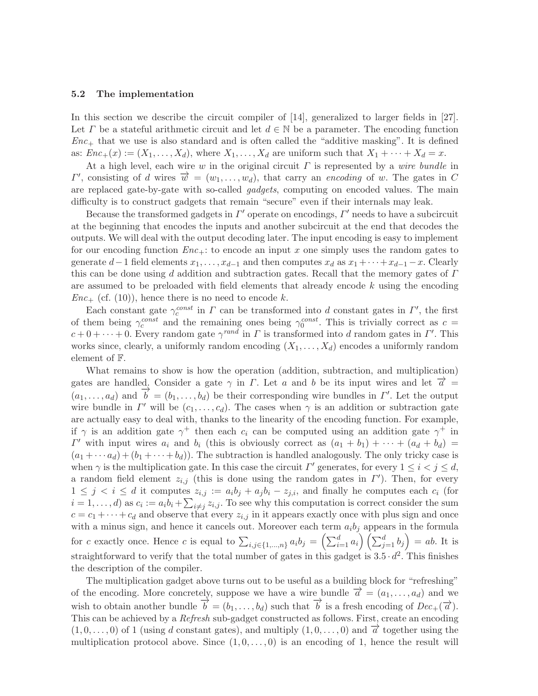#### 5.2 The implementation

In this section we describe the circuit compiler of [14], generalized to larger fields in [27]. Let  $\Gamma$  be a stateful arithmetic circuit and let  $d \in \mathbb{N}$  be a parameter. The encoding function  $Enc<sub>+</sub>$  that we use is also standard and is often called the "additive masking". It is defined as:  $Enc_{+}(x) := (X_1, \ldots, X_d)$ , where  $X_1, \ldots, X_d$  are uniform such that  $X_1 + \cdots + X_d = x$ .

At a high level, each wire w in the original circuit  $\Gamma$  is represented by a wire bundle in  $\overrightarrow{I'}$ , consisting of d wires  $\overrightarrow{w} = (w_1, \ldots, w_d)$ , that carry an encoding of w. The gates in C are replaced gate-by-gate with so-called *gadgets*, computing on encoded values. The main difficulty is to construct gadgets that remain "secure" even if their internals may leak.

Because the transformed gadgets in  $\Gamma'$  operate on encodings,  $\Gamma'$  needs to have a subcircuit at the beginning that encodes the inputs and another subcircuit at the end that decodes the outputs. We will deal with the output decoding later. The input encoding is easy to implement for our encoding function  $Enc_{+}:$  to encode an input x one simply uses the random gates to generate  $d-1$  field elements  $x_1, \ldots, x_{d-1}$  and then computes  $x_d$  as  $x_1 + \cdots + x_{d-1} - x$ . Clearly this can be done using d addition and subtraction gates. Recall that the memory gates of  $\Gamma$ are assumed to be preloaded with field elements that already encode  $k$  using the encoding  $Enc_{+}$  (cf. (10)), hence there is no need to encode k.

Each constant gate  $\gamma_c^{const}$  in  $\Gamma$  can be transformed into d constant gates in  $\Gamma'$ , the first of them being  $\gamma_c^{const}$  and the remaining ones being  $\gamma_0^{const}$ . This is trivially correct as  $c =$  $c+0+\cdots+0$ . Every random gate  $\gamma^{rand}$  in  $\Gamma$  is transformed into d random gates in  $\Gamma'$ . This works since, clearly, a uniformly random encoding  $(X_1, \ldots, X_d)$  encodes a uniformly random element of F.

What remains to show is how the operation (addition, subtraction, and multiplication) gates are handled. Consider a gate  $\gamma$  in  $\Gamma$ . Let  $\alpha$  and b be its input wires and let  $\overrightarrow{\alpha} =$ (a<sub>1</sub>, ..., a<sub>d</sub>) and  $\overrightarrow{b} = (b_1, \ldots, b_d)$  be their corresponding wire bundles in  $\Gamma'$ . Let the output wire bundle in  $\Gamma'$  will be  $(c_1, \ldots, c_d)$ . The cases when  $\gamma$  is an addition or subtraction gate are actually easy to deal with, thanks to the linearity of the encoding function. For example, if  $\gamma$  is an addition gate  $\gamma^+$  then each  $c_i$  can be computed using an addition gate  $\gamma^+$  in  $\Gamma'$  with input wires  $a_i$  and  $b_i$  (this is obviously correct as  $(a_1 + b_1) + \cdots + (a_d + b_d) =$  $(a_1 + \cdots + a_d) + (b_1 + \cdots + b_d)$ . The subtraction is handled analogously. The only tricky case is when  $\gamma$  is the multiplication gate. In this case the circuit  $\Gamma'$  generates, for every  $1 \leq i < j \leq d$ , a random field element  $z_{i,j}$  (this is done using the random gates in  $\Gamma'$ ). Then, for every  $1 \leq j \leq i \leq d$  it computes  $z_{i,j} := a_i b_j + a_j b_i - z_{j,i}$ , and finally he computes each  $c_i$  (for  $i = 1, \ldots, d$  as  $c_i := a_i b_i + \sum_{i \neq j} z_{i,j}$ . To see why this computation is correct consider the sum  $c = c_1 + \cdots + c_d$  and observe that every  $z_{i,j}$  in it appears exactly once with plus sign and once with a minus sign, and hence it cancels out. Moreover each term  $a_i b_j$  appears in the formula for c exactly once. Hence c is equal to  $\sum_{i,j\in\{1,\ldots,n\}} a_i b_j = \left(\sum_{i=1}^d a_i\right) \left(\sum_{j=1}^d b_j\right) = ab$ . It is straightforward to verify that the total number of gates in this gadget is  $3.5 \cdot d^2$ . This finishes the description of the compiler.

The multiplication gadget above turns out to be useful as a building block for "refreshing" of the encoding. More concretely, suppose we have a wire bundle  $\vec{a} = (a_1, \ldots, a_d)$  and we wish to obtain another bundle  $\overrightarrow{b} = (b_1, \ldots, b_d)$  such that  $\overrightarrow{b}$  is a fresh encoding of  $Dec_+(\overrightarrow{a})$ . This can be achieved by a Refresh sub-gadget constructed as follows. First, create an encoding  $(1, 0, \ldots, 0)$  of 1 (using d constant gates), and multiply  $(1, 0, \ldots, 0)$  and  $\overrightarrow{a}$  together using the multiplication protocol above. Since  $(1, 0, \ldots, 0)$  is an encoding of 1, hence the result will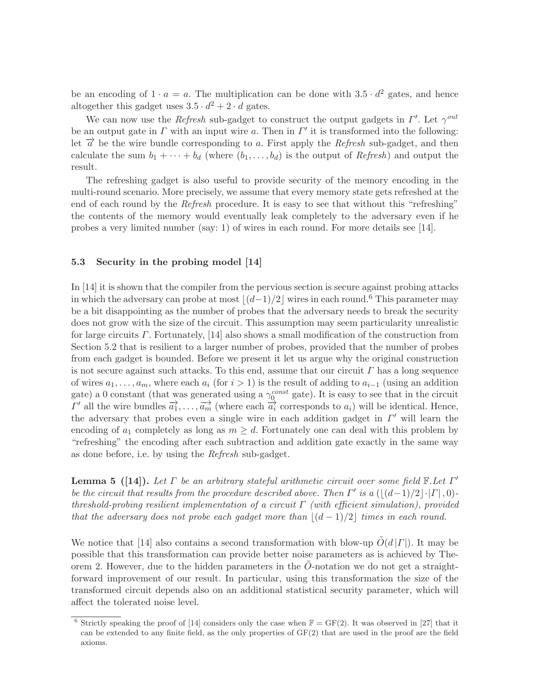be an encoding of  $1 \cdot a = a$ . The multiplication can be done with  $3.5 \cdot d^2$  gates, and hence altogether this gadget uses  $3.5 \cdot d^2 + 2 \cdot d$  gates.

We can now use the *Refresh* sub-gadget to construct the output gadgets in  $\Gamma'$ . Let  $\gamma^{out}$ be an output gate in  $\Gamma$  with an input wire a. Then in  $\Gamma'$  it is transformed into the following: let  $\vec{a}$  be the wire bundle corresponding to a. First apply the Refresh sub-gadget, and then calculate the sum  $b_1 + \cdots + b_d$  (where  $(b_1, \ldots, b_d)$  is the output of *Refresh*) and output the result.

The refreshing gadget is also useful to provide security of the memory encoding in the multi-round scenario. More precisely, we assume that every memory state gets refreshed at the end of each round by the Refresh procedure. It is easy to see that without this "refreshing" the contents of the memory would eventually leak completely to the adversary even if he probes a very limited number (say: 1) of wires in each round. For more details see [14].

### 5.3 Security in the probing model [14]

In [14] it is shown that the compiler from the pervious section is secure against probing attacks in which the adversary can probe at most  $|(d-1)/2|$  wires in each round.<sup>6</sup> This parameter may be a bit disappointing as the number of probes that the adversary needs to break the security does not grow with the size of the circuit. This assumption may seem particularity unrealistic for large circuits  $\Gamma$ . Fortunately, [14] also shows a small modification of the construction from Section 5.2 that is resilient to a larger number of probes, provided that the number of probes from each gadget is bounded. Before we present it let us argue why the original construction is not secure against such attacks. To this end, assume that our circuit  $\Gamma$  has a long sequence of wires  $a_1, \ldots, a_m$ , where each  $a_i$  (for  $i > 1$ ) is the result of adding to  $a_{i-1}$  (using an addition gate) a 0 constant (that was generated using a  $\gamma_0^{const}$  gate). It is easy to see that in the circuit  $\overrightarrow{I'}$  all the wire bundles  $\overrightarrow{a_1}, \ldots, \overrightarrow{a_m}$  (where each  $\overrightarrow{a_i}$  corresponds to  $\overrightarrow{a_i}$ ) will be identical. Hence, the adversary that probes even a single wire in each addition gadget in  $\Gamma'$  will learn the encoding of  $a_1$  completely as long as  $m \geq d$ . Fortunately one can deal with this problem by "refreshing" the encoding after each subtraction and addition gate exactly in the same way as done before, i.e. by using the Refresh sub-gadget.

**Lemma 5** ([14]). Let  $\Gamma$  be an arbitrary stateful arithmetic circuit over some field  $\mathbb{F}.$  Let  $\Gamma'$ be the circuit that results from the procedure described above. Then  $\Gamma'$  is a  $(\lfloor (d-1)/2 \rfloor \cdot |\Gamma|, 0)$ threshold-probing resilient implementation of a circuit  $\Gamma$  (with efficient simulation), provided that the adversary does not probe each gadget more than  $|(d-1)/2|$  times in each round.

We notice that [14] also contains a second transformation with blow-up  $\tilde{O}(d|\Gamma|)$ . It may be possible that this transformation can provide better noise parameters as is achieved by Theorem 2. However, due to the hidden parameters in the  $O$ -notation we do not get a straightforward improvement of our result. In particular, using this transformation the size of the transformed circuit depends also on an additional statistical security parameter, which will affect the tolerated noise level.

<sup>&</sup>lt;sup>6</sup> Strictly speaking the proof of [14] considers only the case when  $\mathbb{F} = \text{GF}(2)$ . It was observed in [27] that it can be extended to any finite field, as the only properties of  $GF(2)$  that are used in the proof are the field axioms.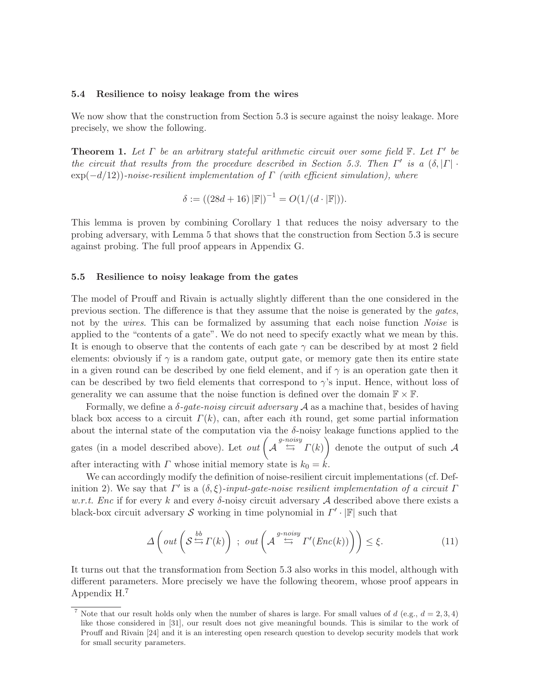#### 5.4 Resilience to noisy leakage from the wires

We now show that the construction from Section 5.3 is secure against the noisy leakage. More precisely, we show the following.

**Theorem 1.** Let  $\Gamma$  be an arbitrary stateful arithmetic circuit over some field  $\mathbb{F}$ . Let  $\Gamma'$  be the circuit that results from the procedure described in Section 5.3. Then  $\Gamma'$  is a  $(\delta, |\Gamma|$ .  $\exp(-d/12)$ )-noise-resilient implementation of  $\Gamma$  (with efficient simulation), where

$$
\delta := ((28d + 16) |\mathbb{F}|)^{-1} = O(1/(d \cdot |\mathbb{F}|)).
$$

This lemma is proven by combining Corollary 1 that reduces the noisy adversary to the probing adversary, with Lemma 5 that shows that the construction from Section 5.3 is secure against probing. The full proof appears in Appendix G.

#### 5.5 Resilience to noisy leakage from the gates

The model of Prouff and Rivain is actually slightly different than the one considered in the previous section. The difference is that they assume that the noise is generated by the gates, not by the wires. This can be formalized by assuming that each noise function Noise is applied to the "contents of a gate". We do not need to specify exactly what we mean by this. It is enough to observe that the contents of each gate  $\gamma$  can be described by at most 2 field elements: obviously if  $\gamma$  is a random gate, output gate, or memory gate then its entire state in a given round can be described by one field element, and if  $\gamma$  is an operation gate then it can be described by two field elements that correspond to  $\gamma$ 's input. Hence, without loss of generality we can assume that the noise function is defined over the domain  $\mathbb{F} \times \mathbb{F}$ .

Formally, we define a  $\delta$ -gate-noisy circuit adversary  $\mathcal A$  as a machine that, besides of having black box access to a circuit  $\Gamma(k)$ , can, after each ith round, get some partial information about the internal state of the computation via the  $\delta$ -noisy leakage functions applied to the gates (in a model described above). Let  $out\left(\mathcal{A}\right)$  $\stackrel{g-noisy}{\hookrightarrow} \Gamma(k)$ denote the output of such A after interacting with  $\Gamma$  whose initial memory state is  $k_0 = k$ .

We can accordingly modify the definition of noise-resilient circuit implementations (cf. Definition 2). We say that  $\Gamma'$  is a  $(\delta, \xi)$ -input-gate-noise resilient implementation of a circuit  $\Gamma$ w.r.t. Enc if for every k and every  $\delta$ -noisy circuit adversary A described above there exists a black-box circuit adversary S working in time polynomial in  $\Gamma' \cdot |\mathbb{F}|$  such that

$$
\Delta\left(\text{out}\left(\mathcal{S}\stackrel{bb}{\hookrightarrow}\Gamma(k)\right)\ ;\ \text{out}\left(\mathcal{A}\stackrel{g\text{-noisy}}{\hookrightarrow} \Gamma'(Enc(k))\right)\right) \leq \xi. \tag{11}
$$

It turns out that the transformation from Section 5.3 also works in this model, although with different parameters. More precisely we have the following theorem, whose proof appears in Appendix H.<sup>7</sup>

<sup>&</sup>lt;sup>7</sup> Note that our result holds only when the number of shares is large. For small values of  $d$  (e.g.,  $d = 2, 3, 4$ ) like those considered in [31], our result does not give meaningful bounds. This is similar to the work of Prouff and Rivain [24] and it is an interesting open research question to develop security models that work for small security parameters.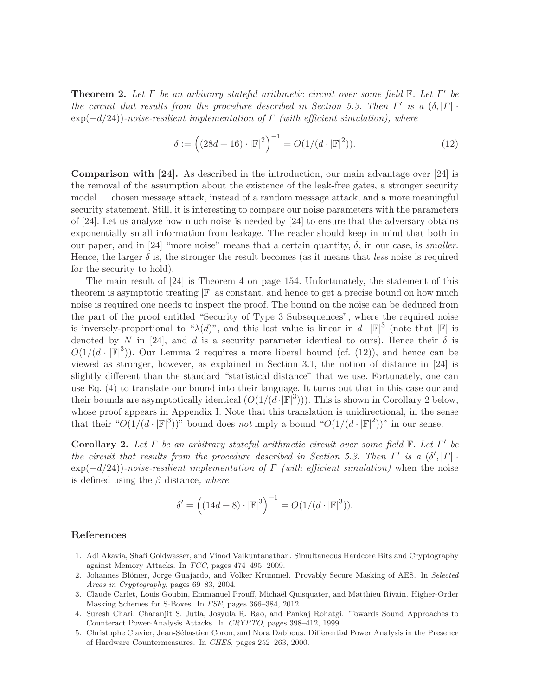**Theorem 2.** Let  $\Gamma$  be an arbitrary stateful arithmetic circuit over some field  $\mathbb{F}$ . Let  $\Gamma'$  be the circuit that results from the procedure described in Section 5.3. Then  $\Gamma'$  is a  $(\delta, |\Gamma|$ .  $\exp(-d/24)$ -noise-resilient implementation of  $\Gamma$  (with efficient simulation), where

$$
\delta := ((28d + 16) \cdot |\mathbb{F}|^2)^{-1} = O(1/(d \cdot |\mathbb{F}|^2)).
$$
\n(12)

Comparison with [24]. As described in the introduction, our main advantage over [24] is the removal of the assumption about the existence of the leak-free gates, a stronger security model — chosen message attack, instead of a random message attack, and a more meaningful security statement. Still, it is interesting to compare our noise parameters with the parameters of [24]. Let us analyze how much noise is needed by [24] to ensure that the adversary obtains exponentially small information from leakage. The reader should keep in mind that both in our paper, and in [24] "more noise" means that a certain quantity,  $\delta$ , in our case, is *smaller*. Hence, the larger  $\delta$  is, the stronger the result becomes (as it means that *less* noise is required for the security to hold).

The main result of [24] is Theorem 4 on page 154. Unfortunately, the statement of this theorem is asymptotic treating  $\mathbb{F}$  as constant, and hence to get a precise bound on how much noise is required one needs to inspect the proof. The bound on the noise can be deduced from the part of the proof entitled "Security of Type 3 Subsequences", where the required noise is inversely-proportional to " $\lambda(d)$ ", and this last value is linear in  $d \cdot |\mathbb{F}|^3$  (note that  $|\mathbb{F}|$  is denoted by N in [24], and d is a security parameter identical to ours). Hence their  $\delta$  is  $O(1/(d \cdot |\mathbb{F}|^3))$ . Our Lemma 2 requires a more liberal bound (cf. (12)), and hence can be viewed as stronger, however, as explained in Section 3.1, the notion of distance in [24] is slightly different than the standard "statistical distance" that we use. Fortunately, one can use Eq. (4) to translate our bound into their language. It turns out that in this case our and their bounds are asymptotically identical  $(O(1/(\tilde{d} \cdot | \mathbb{F}|^3)))$ . This is shown in Corollary 2 below, whose proof appears in Appendix I. Note that this translation is unidirectional, in the sense that their " $O(1/(d \cdot |\mathbb{F}|^3))^n$  bound does not imply a bound " $O(1/(d \cdot |\mathbb{F}|^2))^n$  in our sense.

Corollary 2. Let  $\Gamma$  be an arbitrary stateful arithmetic circuit over some field  $\mathbb{F}$ . Let  $\Gamma'$  be the circuit that results from the procedure described in Section 5.3. Then  $\Gamma'$  is a  $(\delta', |\Gamma| \cdot$  $\exp(-d/24)$ )-noise-resilient implementation of Γ (with efficient simulation) when the noise is defined using the  $\beta$  distance, where

$$
\delta' = ((14d + 8) \cdot |\mathbb{F}|^3)^{-1} = O(1/(d \cdot |\mathbb{F}|^3)).
$$

## References

- 1. Adi Akavia, Shafi Goldwasser, and Vinod Vaikuntanathan. Simultaneous Hardcore Bits and Cryptography against Memory Attacks. In *TCC*, pages 474–495, 2009.
- 2. Johannes Blömer, Jorge Guajardo, and Volker Krummel. Provably Secure Masking of AES. In *Selected Areas in Cryptography*, pages 69–83, 2004.
- 3. Claude Carlet, Louis Goubin, Emmanuel Prouff, Michaël Quisquater, and Matthieu Rivain. Higher-Order Masking Schemes for S-Boxes. In *FSE*, pages 366–384, 2012.
- 4. Suresh Chari, Charanjit S. Jutla, Josyula R. Rao, and Pankaj Rohatgi. Towards Sound Approaches to Counteract Power-Analysis Attacks. In *CRYPTO*, pages 398–412, 1999.
- 5. Christophe Clavier, Jean-Sébastien Coron, and Nora Dabbous. Differential Power Analysis in the Presence of Hardware Countermeasures. In *CHES*, pages 252–263, 2000.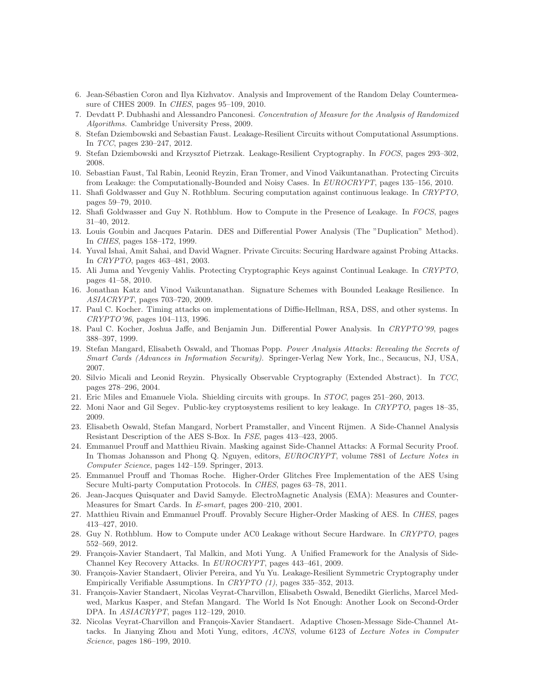- 6. Jean-S´ebastien Coron and Ilya Kizhvatov. Analysis and Improvement of the Random Delay Countermeasure of CHES 2009. In *CHES*, pages 95–109, 2010.
- 7. Devdatt P. Dubhashi and Alessandro Panconesi. *Concentration of Measure for the Analysis of Randomized Algorithms.* Cambridge University Press, 2009.
- 8. Stefan Dziembowski and Sebastian Faust. Leakage-Resilient Circuits without Computational Assumptions. In *TCC*, pages 230–247, 2012.
- 9. Stefan Dziembowski and Krzysztof Pietrzak. Leakage-Resilient Cryptography. In *FOCS*, pages 293–302, 2008.
- 10. Sebastian Faust, Tal Rabin, Leonid Reyzin, Eran Tromer, and Vinod Vaikuntanathan. Protecting Circuits from Leakage: the Computationally-Bounded and Noisy Cases. In *EUROCRYPT*, pages 135–156, 2010.
- 11. Shafi Goldwasser and Guy N. Rothblum. Securing computation against continuous leakage. In *CRYPTO*, pages 59–79, 2010.
- 12. Shafi Goldwasser and Guy N. Rothblum. How to Compute in the Presence of Leakage. In *FOCS*, pages 31–40, 2012.
- 13. Louis Goubin and Jacques Patarin. DES and Differential Power Analysis (The "Duplication" Method). In *CHES*, pages 158–172, 1999.
- 14. Yuval Ishai, Amit Sahai, and David Wagner. Private Circuits: Securing Hardware against Probing Attacks. In *CRYPTO*, pages 463–481, 2003.
- 15. Ali Juma and Yevgeniy Vahlis. Protecting Cryptographic Keys against Continual Leakage. In *CRYPTO*, pages 41–58, 2010.
- 16. Jonathan Katz and Vinod Vaikuntanathan. Signature Schemes with Bounded Leakage Resilience. In *ASIACRYPT*, pages 703–720, 2009.
- 17. Paul C. Kocher. Timing attacks on implementations of Diffie-Hellman, RSA, DSS, and other systems. In *CRYPTO'96*, pages 104–113, 1996.
- 18. Paul C. Kocher, Joshua Jaffe, and Benjamin Jun. Differential Power Analysis. In *CRYPTO'99*, pages 388–397, 1999.
- 19. Stefan Mangard, Elisabeth Oswald, and Thomas Popp. *Power Analysis Attacks: Revealing the Secrets of Smart Cards (Advances in Information Security)*. Springer-Verlag New York, Inc., Secaucus, NJ, USA, 2007.
- 20. Silvio Micali and Leonid Reyzin. Physically Observable Cryptography (Extended Abstract). In *TCC*, pages 278–296, 2004.
- 21. Eric Miles and Emanuele Viola. Shielding circuits with groups. In *STOC*, pages 251–260, 2013.
- 22. Moni Naor and Gil Segev. Public-key cryptosystems resilient to key leakage. In *CRYPTO*, pages 18–35, 2009.
- 23. Elisabeth Oswald, Stefan Mangard, Norbert Pramstaller, and Vincent Rijmen. A Side-Channel Analysis Resistant Description of the AES S-Box. In *FSE*, pages 413–423, 2005.
- 24. Emmanuel Prouff and Matthieu Rivain. Masking against Side-Channel Attacks: A Formal Security Proof. In Thomas Johansson and Phong Q. Nguyen, editors, *EUROCRYPT*, volume 7881 of *Lecture Notes in Computer Science*, pages 142–159. Springer, 2013.
- 25. Emmanuel Prouff and Thomas Roche. Higher-Order Glitches Free Implementation of the AES Using Secure Multi-party Computation Protocols. In *CHES*, pages 63–78, 2011.
- 26. Jean-Jacques Quisquater and David Samyde. ElectroMagnetic Analysis (EMA): Measures and Counter-Measures for Smart Cards. In *E-smart*, pages 200–210, 2001.
- 27. Matthieu Rivain and Emmanuel Prouff. Provably Secure Higher-Order Masking of AES. In *CHES*, pages 413–427, 2010.
- 28. Guy N. Rothblum. How to Compute under AC0 Leakage without Secure Hardware. In *CRYPTO*, pages 552–569, 2012.
- 29. François-Xavier Standaert, Tal Malkin, and Moti Yung. A Unified Framework for the Analysis of Side-Channel Key Recovery Attacks. In *EUROCRYPT*, pages 443–461, 2009.
- 30. François-Xavier Standaert, Olivier Pereira, and Yu Yu. Leakage-Resilient Symmetric Cryptography under Empirically Verifiable Assumptions. In *CRYPTO (1)*, pages 335–352, 2013.
- 31. François-Xavier Standaert, Nicolas Veyrat-Charvillon, Elisabeth Oswald, Benedikt Gierlichs, Marcel Medwed, Markus Kasper, and Stefan Mangard. The World Is Not Enough: Another Look on Second-Order DPA. In *ASIACRYPT*, pages 112–129, 2010.
- 32. Nicolas Veyrat-Charvillon and François-Xavier Standaert. Adaptive Chosen-Message Side-Channel Attacks. In Jianying Zhou and Moti Yung, editors, *ACNS*, volume 6123 of *Lecture Notes in Computer Science*, pages 186–199, 2010.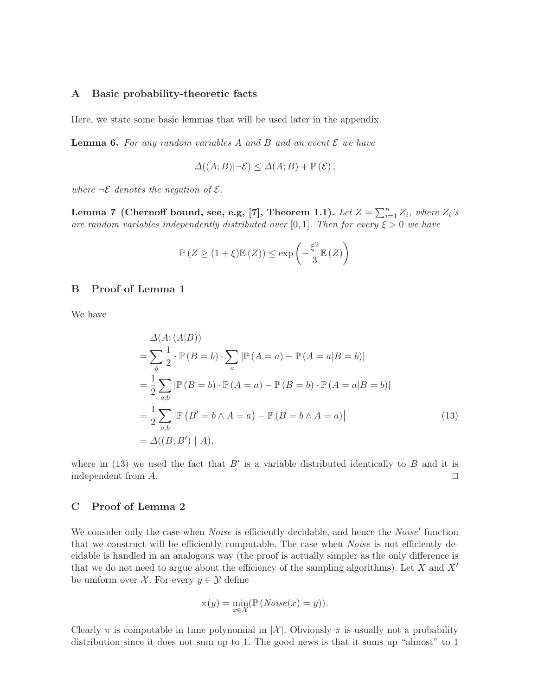## A Basic probability-theoretic facts

Here, we state some basic lemmas that will be used later in the appendix.

**Lemma 6.** For any random variables A and B and an event  $\mathcal{E}$  we have

$$
\Delta((A;B)|\neg \mathcal{E}) \le \Delta(A;B) + \mathbb{P}(\mathcal{E}),
$$

where  $\neg \mathcal{E}$  denotes the negation of  $\mathcal{E}$ .

Lemma 7 (Chernoff bound, see, e.g, [7], Theorem 1.1). Let  $Z = \sum_{i=1}^{n} Z_i$ , where  $Z_i$ 's are random variables independently distributed over [0,1]. Then for every  $\xi > 0$  we have

$$
\mathbb{P}\left(Z \ge (1+\xi)\mathbb{E}\left(Z\right)\right) \le \exp\left(-\frac{\xi^2}{3}\mathbb{E}\left(Z\right)\right)
$$

## B Proof of Lemma 1

We have

$$
\Delta(A; (A|B))
$$
\n
$$
= \sum_{b} \frac{1}{2} \cdot \mathbb{P}(B = b) \cdot \sum_{a} |\mathbb{P}(A = a) - \mathbb{P}(A = a|B = b)|
$$
\n
$$
= \frac{1}{2} \sum_{a,b} |\mathbb{P}(B = b) \cdot \mathbb{P}(A = a) - \mathbb{P}(B = b) \cdot \mathbb{P}(A = a|B = b)|
$$
\n
$$
= \frac{1}{2} \sum_{a,b} |\mathbb{P}(B' = b \land A = a) - \mathbb{P}(B = b \land A = a)|
$$
\n
$$
= \Delta((B; B') \mid A),
$$
\n(13)

where in (13) we used the fact that  $B'$  is a variable distributed identically to  $B$  and it is independent from A. ⊓⊔

## C Proof of Lemma 2

We consider only the case when *Noise* is efficiently decidable, and hence the *Noise'* function that we construct will be efficiently computable. The case when *Noise* is not efficiently decidable is handled in an analogous way (the proof is actually simpler as the only difference is that we do not need to argue about the efficiency of the sampling algorithms). Let X and  $X'$ be uniform over X. For every  $y \in \mathcal{Y}$  define

$$
\pi(y) = \min_{x \in \mathcal{X}} (\mathbb{P} (Noise(x) = y)).
$$

Clearly  $\pi$  is computable in time polynomial in  $|\mathcal{X}|$ . Obviously  $\pi$  is usually not a probability distribution since it does not sum up to 1. The good news is that it sums up "almost" to 1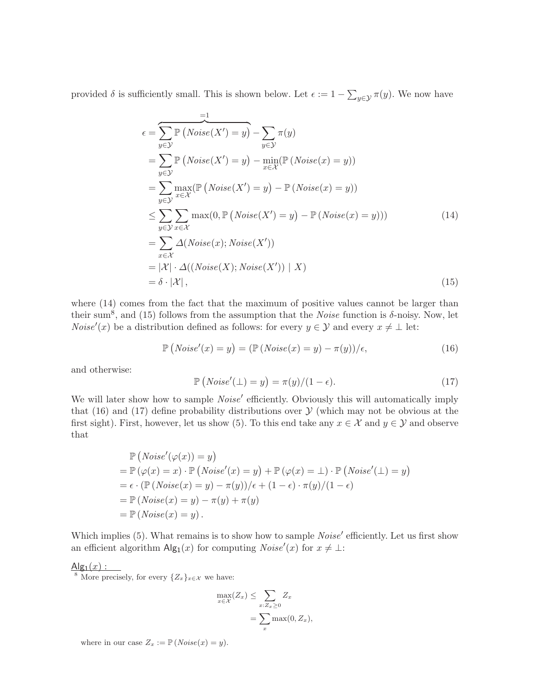provided  $\delta$  is sufficiently small. This is shown below. Let  $\epsilon := 1 - \sum_{y \in \mathcal{Y}} \pi(y)$ . We now have

$$
\epsilon = \sum_{y \in \mathcal{Y}} \mathbb{P}\left(Noise(X') = y\right) - \sum_{y \in \mathcal{Y}} \pi(y)
$$
\n
$$
= \sum_{y \in \mathcal{Y}} \mathbb{P}\left(Noise(X') = y\right) - \min_{x \in \mathcal{X}} (\mathbb{P}\left(Noise(x) = y\right))
$$
\n
$$
= \sum_{y \in \mathcal{Y}} \max_{x \in \mathcal{X}} (\mathbb{P}\left(Noise(X') = y\right) - \mathbb{P}\left(Noise(x) = y\right))
$$
\n
$$
\leq \sum_{y \in \mathcal{Y}} \sum_{x \in \mathcal{X}} \max(0, \mathbb{P}\left(Noise(X') = y\right) - \mathbb{P}\left(Noise(x) = y\right))
$$
\n
$$
= \sum_{x \in \mathcal{X}} \Delta(Noise(x); Noise(X'))
$$
\n
$$
= |\mathcal{X}| \cdot \Delta((Noise(X);Noise(X')) \mid X)
$$
\n
$$
= \delta \cdot |\mathcal{X}|, \tag{15}
$$

where  $(14)$  comes from the fact that the maximum of positive values cannot be larger than their sum<sup>8</sup>, and (15) follows from the assumption that the *Noise* function is  $\delta$ -noisy. Now, let *Noise'*(x) be a distribution defined as follows: for every  $y \in \mathcal{Y}$  and every  $x \neq \bot$  let:

$$
\mathbb{P}\left(Noise'(x) = y\right) = \left(\mathbb{P}\left(Noise(x) = y\right) - \pi(y)\right)/\epsilon,\tag{16}
$$

and otherwise:

$$
\mathbb{P}\left(Noise'(\bot) = y\right) = \pi(y)/(1 - \epsilon). \tag{17}
$$

We will later show how to sample *Noise'* efficiently. Obviously this will automatically imply that (16) and (17) define probability distributions over  $\mathcal Y$  (which may not be obvious at the first sight). First, however, let us show (5). To this end take any  $x \in \mathcal{X}$  and  $y \in \mathcal{Y}$  and observe that

$$
\mathbb{P}\left(Noise'(\varphi(x)) = y\right)
$$
  
=  $\mathbb{P}\left(\varphi(x) = x\right) \cdot \mathbb{P}\left(Noise'(x) = y\right) + \mathbb{P}\left(\varphi(x) = \bot\right) \cdot \mathbb{P}\left(Noise'(\bot) = y\right)$   
=  $\epsilon \cdot (\mathbb{P}\left(Noise(x) = y\right) - \pi(y))/\epsilon + (1 - \epsilon) \cdot \pi(y)/(1 - \epsilon)$   
=  $\mathbb{P}\left(Noise(x) = y\right) - \pi(y) + \pi(y)$   
=  $\mathbb{P}\left(Noise(x) = y\right).$ 

Which implies (5). What remains is to show how to sample Noise' efficiently. Let us first show an efficient algorithm  $\mathsf{Alg}_1(x)$  for computing  $Noise'(x)$  for  $x \neq \bot$ :

 $\mathsf{Alg}_1(x)$ :

<sup>8</sup> More precisely, for every  $\{Z_x\}_{x\in\mathcal{X}}$  we have:

$$
\max_{x \in \mathcal{X}} (Z_x) \le \sum_{x: Z_x \ge 0} Z_x
$$
  
= 
$$
\sum_x \max(0, Z_x),
$$

where in our case  $Z_x := \mathbb{P}(\textit{Noise}(x) = y).$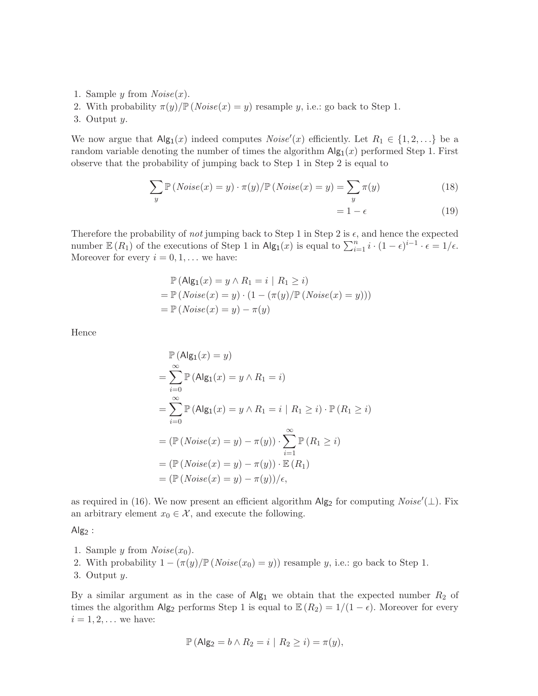- 1. Sample y from  $Noise(x)$ .
- 2. With probability  $\pi(y)/\mathbb{P}(Noise(x) = y)$  resample y, i.e.: go back to Step 1.
- 3. Output y.

We now argue that  $\mathsf{Alg}_1(x)$  indeed computes  $Noise'(x)$  efficiently. Let  $R_1 \in \{1, 2, \ldots\}$  be a random variable denoting the number of times the algorithm  $\mathsf{Alg}_1(x)$  performed Step 1. First observe that the probability of jumping back to Step 1 in Step 2 is equal to

$$
\sum_{y} \mathbb{P}\left(Noise(x) = y\right) \cdot \pi(y) / \mathbb{P}\left(Noise(x) = y\right) = \sum_{y} \pi(y) \tag{18}
$$

$$
=1-\epsilon \tag{19}
$$

Therefore the probability of not jumping back to Step 1 in Step 2 is  $\epsilon$ , and hence the expected number  $\mathbb{E}(R_1)$  of the executions of Step 1 in Alg<sub>1</sub>(x) is equal to  $\sum_{i=1}^n i \cdot (1-\epsilon)^{i-1} \cdot \epsilon = 1/\epsilon$ . Moreover for every  $i = 0, 1, \dots$  we have:

$$
\mathbb{P} ( \text{Alg}_1(x) = y \land R_1 = i \mid R_1 \ge i )
$$
  
= 
$$
\mathbb{P} (Noise(x) = y) \cdot (1 - (\pi(y)/\mathbb{P} (Noise(x) = y)))
$$
  
= 
$$
\mathbb{P} (Noise(x) = y) - \pi(y)
$$

Hence

$$
\mathbb{P} (A|g_1(x) = y)
$$
  
= 
$$
\sum_{i=0}^{\infty} \mathbb{P} (A|g_1(x) = y \land R_1 = i)
$$
  
= 
$$
\sum_{i=0}^{\infty} \mathbb{P} (A|g_1(x) = y \land R_1 = i | R_1 \ge i) \cdot \mathbb{P} (R_1 \ge i)
$$
  
= 
$$
(\mathbb{P} (Noise(x) = y) - \pi(y)) \cdot \sum_{i=1}^{\infty} \mathbb{P} (R_1 \ge i)
$$
  
= 
$$
(\mathbb{P} (Noise(x) = y) - \pi(y)) \cdot \mathbb{E} (R_1)
$$
  
= 
$$
(\mathbb{P} (Noise(x) = y) - \pi(y)) / \epsilon,
$$

as required in (16). We now present an efficient algorithm  $\mathsf{Alg}_2$  for computing  $Noise'(\perp)$ . Fix an arbitrary element  $x_0 \in \mathcal{X}$ , and execute the following.

## $\mathsf{Alg}_2$ :

- 1. Sample y from  $Noise(x_0)$ .
- 2. With probability  $1 (\pi(y)/\mathbb{P}(Noise(x_0) = y))$  resample y, i.e.: go back to Step 1.
- 3. Output y.

By a similar argument as in the case of  $\mathsf{Alg}_1$  we obtain that the expected number  $R_2$  of times the algorithm Alg<sub>2</sub> performs Step 1 is equal to  $\mathbb{E}(R_2) = 1/(1 - \epsilon)$ . Moreover for every  $i = 1, 2, \ldots$  we have:

$$
\mathbb{P}\left(\mathsf{Alg}_2 = b \land R_2 = i \mid R_2 \geq i\right) = \pi(y),
$$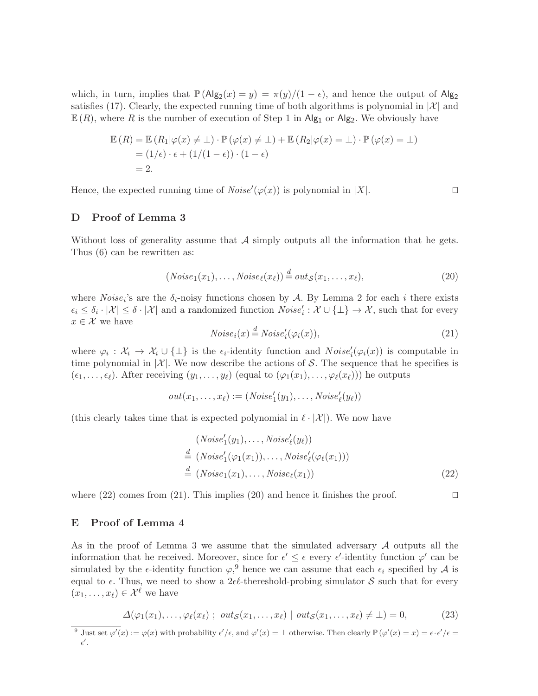which, in turn, implies that  $\mathbb{P}(Alg_2(x) = y) = \pi(y)/(1 - \epsilon)$ , and hence the output of Alg<sub>2</sub> satisfies (17). Clearly, the expected running time of both algorithms is polynomial in  $|\mathcal{X}|$  and  $\mathbb{E}(R)$ , where R is the number of execution of Step 1 in Alg<sub>1</sub> or Alg<sub>2</sub>. We obviously have

$$
\mathbb{E}(R) = \mathbb{E}(R_1|\varphi(x) \neq \bot) \cdot \mathbb{P}(\varphi(x) \neq \bot) + \mathbb{E}(R_2|\varphi(x) = \bot) \cdot \mathbb{P}(\varphi(x) = \bot)
$$
  
= (1/ $\epsilon$ ) \cdot  $\epsilon$  + (1/(1 -  $\epsilon$ )) \cdot (1 -  $\epsilon$ )  
= 2.

Hence, the expected running time of  $Noise'(\varphi(x))$  is polynomial in |X|.

## D Proof of Lemma 3

Without loss of generality assume that  $A$  simply outputs all the information that he gets. Thus (6) can be rewritten as:

$$
(Noise_1(x_1),\ldots,Noise_\ell(x_\ell))\stackrel{d}{=}out_{\mathcal{S}}(x_1,\ldots,x_\ell),\tag{20}
$$

where *Noise<sub>i</sub>*'s are the  $\delta_i$ -noisy functions chosen by A. By Lemma 2 for each *i* there exists  $\epsilon_i \leq \delta_i \cdot |\mathcal{X}| \leq \delta \cdot |\mathcal{X}|$  and a randomized function  $Noise'_i : \mathcal{X} \cup \{\perp\} \to \mathcal{X}$ , such that for every  $x \in \mathcal{X}$  we have

$$
Noise_i(x) \stackrel{d}{=} Noise_i'(\varphi_i(x)),\tag{21}
$$

where  $\varphi_i: \mathcal{X}_i \to \mathcal{X}_i \cup \{\perp\}$  is the  $\epsilon_i$ -identity function and  $Noise'_i(\varphi_i(x))$  is computable in time polynomial in  $|\mathcal{X}|$ . We now describe the actions of S. The sequence that he specifies is  $(\epsilon_1,\ldots,\epsilon_\ell)$ . After receiving  $(y_1,\ldots,y_\ell)$  (equal to  $(\varphi_1(x_1),\ldots,\varphi_\ell(x_\ell)))$ ) he outputs

$$
out(x_1, \ldots, x_\ell) := (Noise'_1(y_1), \ldots, Noise'_\ell(y_\ell))
$$

(this clearly takes time that is expected polynomial in  $\ell \cdot |\mathcal{X}|$ ). We now have

$$
(Noise'_1(y_1),...,Noise'_\ell(y_\ell))
$$
  
\n
$$
\stackrel{d}{=} (Noise'_1(\varphi_1(x_1)),...,Noise'_\ell(\varphi_\ell(x_1)))
$$
  
\n
$$
\stackrel{d}{=} (Noise_1(x_1),...,Noise_\ell(x_1))
$$
  
\n(22)

where (22) comes from (21). This implies (20) and hence it finishes the proof. □

## E Proof of Lemma 4

As in the proof of Lemma 3 we assume that the simulated adversary  $A$  outputs all the information that he received. Moreover, since for  $\epsilon' \leq \epsilon$  every  $\epsilon'$ -identity function  $\varphi'$  can be simulated by the  $\epsilon$ -identity function  $\varphi$ , hence we can assume that each  $\epsilon_i$  specified by A is equal to  $\epsilon$ . Thus, we need to show a 2 $\epsilon\ell$ -thereshold-probing simulator S such that for every  $(x_1, \ldots, x_\ell) \in \mathcal{X}^\ell$  we have

$$
\Delta(\varphi_1(x_1),\ldots,\varphi_\ell(x_\ell); \ out_{\mathcal{S}}(x_1,\ldots,x_\ell) \mid out_{\mathcal{S}}(x_1,\ldots,x_\ell) \neq \bot) = 0, \tag{23}
$$

<sup>&</sup>lt;sup>9</sup> Just set  $\varphi'(x) := \varphi(x)$  with probability  $\epsilon'/\epsilon$ , and  $\varphi'(x) = \bot$  otherwise. Then clearly  $\mathbb{P}(\varphi'(x) = x) = \epsilon \cdot \epsilon'/\epsilon = \epsilon'$  $\epsilon$ .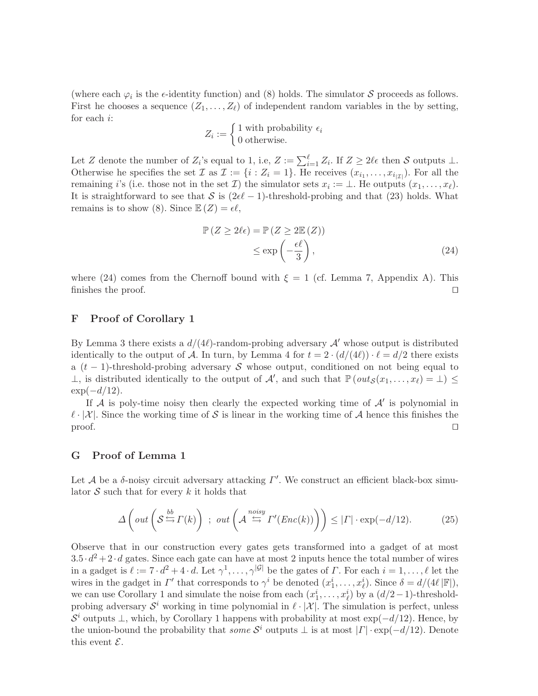(where each  $\varphi_i$  is the  $\epsilon$ -identity function) and (8) holds. The simulator S proceeds as follows. First he chooses a sequence  $(Z_1, \ldots, Z_\ell)$  of independent random variables in the by setting, for each i:

$$
Z_i := \begin{cases} 1 \text{ with probability } \epsilon_i \\ 0 \text{ otherwise.} \end{cases}
$$

Let Z denote the number of  $Z_i$ 's equal to 1, i.e,  $Z := \sum_{i=1}^{\ell} Z_i$ . If  $Z \geq 2\ell\epsilon$  then S outputs  $\bot$ . Otherwise he specifies the set  $\mathcal I$  as  $\mathcal I := \{i : Z_i = 1\}$ . He receives  $(x_{i_1}, \ldots, x_{i_{|\mathcal I|}})$ . For all the remaining i's (i.e. those not in the set  $\mathcal{I}$ ) the simulator sets  $x_i := \bot$ . He outputs  $(x_1, \ldots, x_\ell)$ . It is straightforward to see that S is  $(2e\ell-1)$ -threshold-probing and that (23) holds. What remains is to show (8). Since  $\mathbb{E}(Z) = \epsilon \ell$ ,

$$
\mathbb{P}\left(Z \ge 2\ell\epsilon\right) = \mathbb{P}\left(Z \ge 2\mathbb{E}\left(Z\right)\right) \le \exp\left(-\frac{\epsilon\ell}{3}\right),\tag{24}
$$

where (24) comes from the Chernoff bound with  $\xi = 1$  (cf. Lemma 7, Appendix A). This finishes the proof. ⊓⊔

## F Proof of Corollary 1

By Lemma 3 there exists a  $d/(4\ell)$ -random-probing adversary  $\mathcal{A}'$  whose output is distributed identically to the output of A. In turn, by Lemma 4 for  $t = 2 \cdot (d/(4\ell)) \cdot \ell = d/2$  there exists a  $(t-1)$ -threshold-probing adversary S whose output, conditioned on not being equal to  $\perp$ , is distributed identically to the output of  $\mathcal{A}'$ , and such that  $\mathbb{P}(out_{\mathcal{S}}(x_1,\ldots,x_\ell)=\perp)\leq$  $\exp(-d/12)$ .

If  $A$  is poly-time noisy then clearly the expected working time of  $A'$  is polynomial in  $\ell \cdot |\mathcal{X}|$ . Since the working time of S is linear in the working time of A hence this finishes the proof. □

## G Proof of Lemma 1

Let A be a  $\delta$ -noisy circuit adversary attacking  $\Gamma'$ . We construct an efficient black-box simulator  $S$  such that for every  $k$  it holds that

$$
\Delta\left(\text{out}\left(\mathcal{S} \stackrel{bb}{\hookrightarrow} \Gamma(k)\right) \ ; \ \text{out}\left(\mathcal{A} \stackrel{\text{noisy}}{\hookrightarrow} \Gamma'(\text{Enc}(k))\right)\right) \leq |\Gamma| \cdot \exp(-d/12). \tag{25}
$$

Observe that in our construction every gates gets transformed into a gadget of at most  $3.5 \cdot d^2 + 2 \cdot d$  gates. Since each gate can have at most 2 inputs hence the total number of wires in a gadget is  $\ell := 7 \cdot d^2 + 4 \cdot d$ . Let  $\gamma^1, \ldots, \gamma^{|\mathcal{G}|}$  be the gates of  $\Gamma$ . For each  $i = 1, \ldots, \ell$  let the wires in the gadget in  $\Gamma'$  that corresponds to  $\gamma^i$  be denoted  $(x_1^i, \ldots, x_\ell^i)$ . Since  $\delta = d/(4\ell |\mathbb{F}|)$ , we can use Corollary 1 and simulate the noise from each  $(x_1^i, \ldots, x_\ell^i)$  by a  $(d/2-1)$ -thresholdprobing adversary  $\mathcal{S}^i$  working in time polynomial in  $\ell \cdot |\mathcal{X}|$ . The simulation is perfect, unless S<sup>i</sup> outputs  $\perp$ , which, by Corollary 1 happens with probability at most exp( $-d/12$ ). Hence, by the union-bound the probability that some  $\mathcal{S}^i$  outputs  $\perp$  is at most  $|\Gamma| \cdot \exp(-d/12)$ . Denote this event  $\mathcal{E}.$